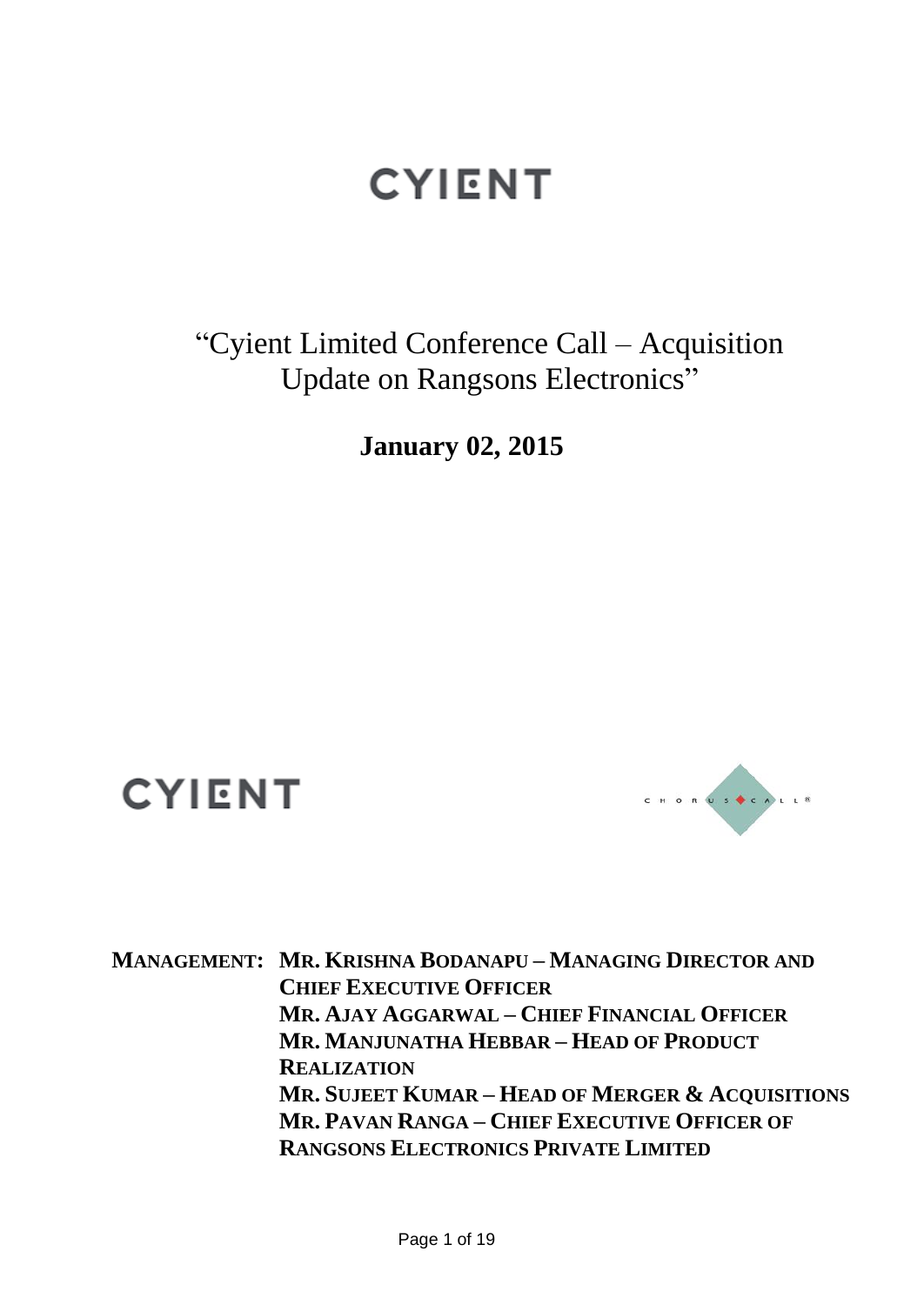"Cyient Limited Conference Call – Acquisition Update on Rangsons Electronics"

**January 02, 2015**

## **CYIENT**



**MANAGEMENT: MR. KRISHNA BODANAPU – MANAGING DIRECTOR AND CHIEF EXECUTIVE OFFICER MR. AJAY AGGARWAL – CHIEF FINANCIAL OFFICER MR. MANJUNATHA HEBBAR – HEAD OF PRODUCT REALIZATION MR. SUJEET KUMAR – HEAD OF MERGER & ACQUISITIONS MR. PAVAN RANGA – CHIEF EXECUTIVE OFFICER OF RANGSONS ELECTRONICS PRIVATE LIMITED**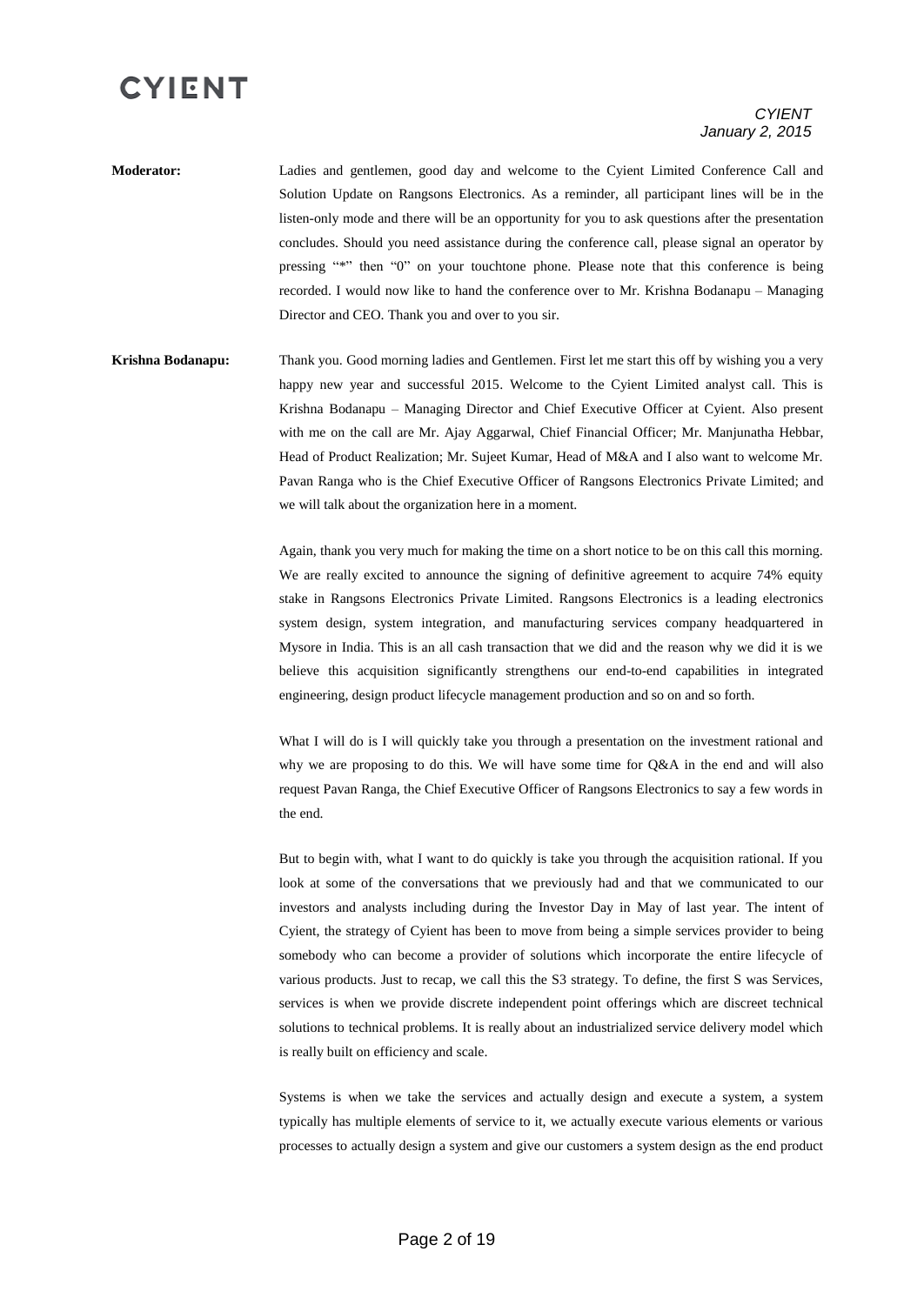#### *CYIENT January 2, 2015*

- **Moderator:** Ladies and gentlemen, good day and welcome to the Cyient Limited Conference Call and Solution Update on Rangsons Electronics. As a reminder, all participant lines will be in the listen-only mode and there will be an opportunity for you to ask questions after the presentation concludes. Should you need assistance during the conference call, please signal an operator by pressing "\*" then "0" on your touchtone phone. Please note that this conference is being recorded. I would now like to hand the conference over to Mr. Krishna Bodanapu – Managing Director and CEO. Thank you and over to you sir.
- **Krishna Bodanapu:** Thank you. Good morning ladies and Gentlemen. First let me start this off by wishing you a very happy new year and successful 2015. Welcome to the Cyient Limited analyst call. This is Krishna Bodanapu – Managing Director and Chief Executive Officer at Cyient. Also present with me on the call are Mr. Ajay Aggarwal, Chief Financial Officer; Mr. Manjunatha Hebbar, Head of Product Realization; Mr. Sujeet Kumar, Head of M&A and I also want to welcome Mr. Pavan Ranga who is the Chief Executive Officer of Rangsons Electronics Private Limited; and we will talk about the organization here in a moment.

Again, thank you very much for making the time on a short notice to be on this call this morning. We are really excited to announce the signing of definitive agreement to acquire 74% equity stake in Rangsons Electronics Private Limited. Rangsons Electronics is a leading electronics system design, system integration, and manufacturing services company headquartered in Mysore in India. This is an all cash transaction that we did and the reason why we did it is we believe this acquisition significantly strengthens our end-to-end capabilities in integrated engineering, design product lifecycle management production and so on and so forth.

What I will do is I will quickly take you through a presentation on the investment rational and why we are proposing to do this. We will have some time for Q&A in the end and will also request Pavan Ranga, the Chief Executive Officer of Rangsons Electronics to say a few words in the end.

But to begin with, what I want to do quickly is take you through the acquisition rational. If you look at some of the conversations that we previously had and that we communicated to our investors and analysts including during the Investor Day in May of last year. The intent of Cyient, the strategy of Cyient has been to move from being a simple services provider to being somebody who can become a provider of solutions which incorporate the entire lifecycle of various products. Just to recap, we call this the S3 strategy. To define, the first S was Services, services is when we provide discrete independent point offerings which are discreet technical solutions to technical problems. It is really about an industrialized service delivery model which is really built on efficiency and scale.

Systems is when we take the services and actually design and execute a system, a system typically has multiple elements of service to it, we actually execute various elements or various processes to actually design a system and give our customers a system design as the end product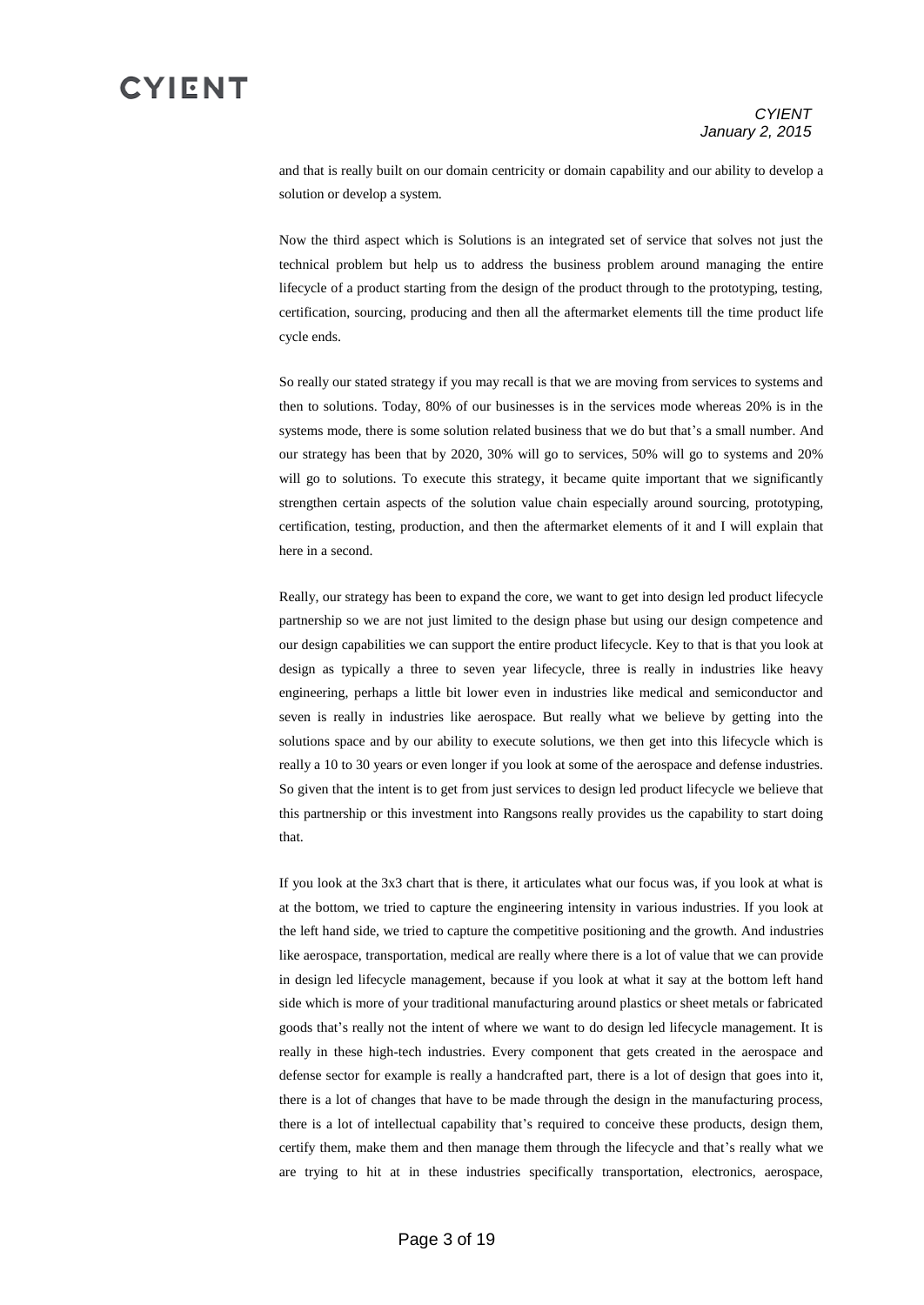and that is really built on our domain centricity or domain capability and our ability to develop a solution or develop a system.

Now the third aspect which is Solutions is an integrated set of service that solves not just the technical problem but help us to address the business problem around managing the entire lifecycle of a product starting from the design of the product through to the prototyping, testing, certification, sourcing, producing and then all the aftermarket elements till the time product life cycle ends.

So really our stated strategy if you may recall is that we are moving from services to systems and then to solutions. Today, 80% of our businesses is in the services mode whereas 20% is in the systems mode, there is some solution related business that we do but that's a small number. And our strategy has been that by 2020, 30% will go to services, 50% will go to systems and 20% will go to solutions. To execute this strategy, it became quite important that we significantly strengthen certain aspects of the solution value chain especially around sourcing, prototyping, certification, testing, production, and then the aftermarket elements of it and I will explain that here in a second.

Really, our strategy has been to expand the core, we want to get into design led product lifecycle partnership so we are not just limited to the design phase but using our design competence and our design capabilities we can support the entire product lifecycle. Key to that is that you look at design as typically a three to seven year lifecycle, three is really in industries like heavy engineering, perhaps a little bit lower even in industries like medical and semiconductor and seven is really in industries like aerospace. But really what we believe by getting into the solutions space and by our ability to execute solutions, we then get into this lifecycle which is really a 10 to 30 years or even longer if you look at some of the aerospace and defense industries. So given that the intent is to get from just services to design led product lifecycle we believe that this partnership or this investment into Rangsons really provides us the capability to start doing that.

If you look at the 3x3 chart that is there, it articulates what our focus was, if you look at what is at the bottom, we tried to capture the engineering intensity in various industries. If you look at the left hand side, we tried to capture the competitive positioning and the growth. And industries like aerospace, transportation, medical are really where there is a lot of value that we can provide in design led lifecycle management, because if you look at what it say at the bottom left hand side which is more of your traditional manufacturing around plastics or sheet metals or fabricated goods that's really not the intent of where we want to do design led lifecycle management. It is really in these high-tech industries. Every component that gets created in the aerospace and defense sector for example is really a handcrafted part, there is a lot of design that goes into it, there is a lot of changes that have to be made through the design in the manufacturing process, there is a lot of intellectual capability that's required to conceive these products, design them, certify them, make them and then manage them through the lifecycle and that's really what we are trying to hit at in these industries specifically transportation, electronics, aerospace,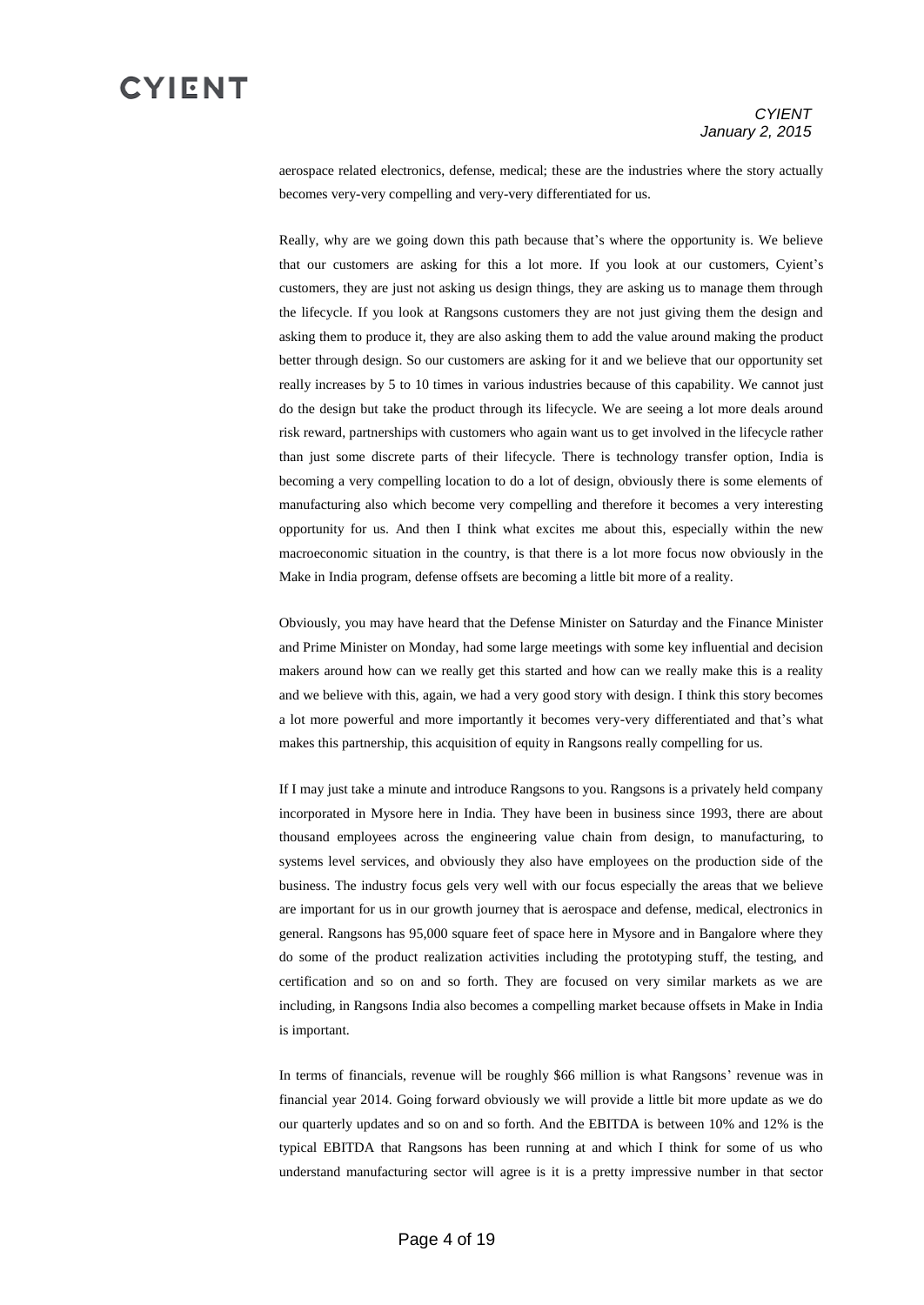aerospace related electronics, defense, medical; these are the industries where the story actually becomes very-very compelling and very-very differentiated for us.

Really, why are we going down this path because that's where the opportunity is. We believe that our customers are asking for this a lot more. If you look at our customers, Cyient's customers, they are just not asking us design things, they are asking us to manage them through the lifecycle. If you look at Rangsons customers they are not just giving them the design and asking them to produce it, they are also asking them to add the value around making the product better through design. So our customers are asking for it and we believe that our opportunity set really increases by 5 to 10 times in various industries because of this capability. We cannot just do the design but take the product through its lifecycle. We are seeing a lot more deals around risk reward, partnerships with customers who again want us to get involved in the lifecycle rather than just some discrete parts of their lifecycle. There is technology transfer option, India is becoming a very compelling location to do a lot of design, obviously there is some elements of manufacturing also which become very compelling and therefore it becomes a very interesting opportunity for us. And then I think what excites me about this, especially within the new macroeconomic situation in the country, is that there is a lot more focus now obviously in the Make in India program, defense offsets are becoming a little bit more of a reality.

Obviously, you may have heard that the Defense Minister on Saturday and the Finance Minister and Prime Minister on Monday, had some large meetings with some key influential and decision makers around how can we really get this started and how can we really make this is a reality and we believe with this, again, we had a very good story with design. I think this story becomes a lot more powerful and more importantly it becomes very-very differentiated and that's what makes this partnership, this acquisition of equity in Rangsons really compelling for us.

If I may just take a minute and introduce Rangsons to you. Rangsons is a privately held company incorporated in Mysore here in India. They have been in business since 1993, there are about thousand employees across the engineering value chain from design, to manufacturing, to systems level services, and obviously they also have employees on the production side of the business. The industry focus gels very well with our focus especially the areas that we believe are important for us in our growth journey that is aerospace and defense, medical, electronics in general. Rangsons has 95,000 square feet of space here in Mysore and in Bangalore where they do some of the product realization activities including the prototyping stuff, the testing, and certification and so on and so forth. They are focused on very similar markets as we are including, in Rangsons India also becomes a compelling market because offsets in Make in India is important.

In terms of financials, revenue will be roughly \$66 million is what Rangsons' revenue was in financial year 2014. Going forward obviously we will provide a little bit more update as we do our quarterly updates and so on and so forth. And the EBITDA is between 10% and 12% is the typical EBITDA that Rangsons has been running at and which I think for some of us who understand manufacturing sector will agree is it is a pretty impressive number in that sector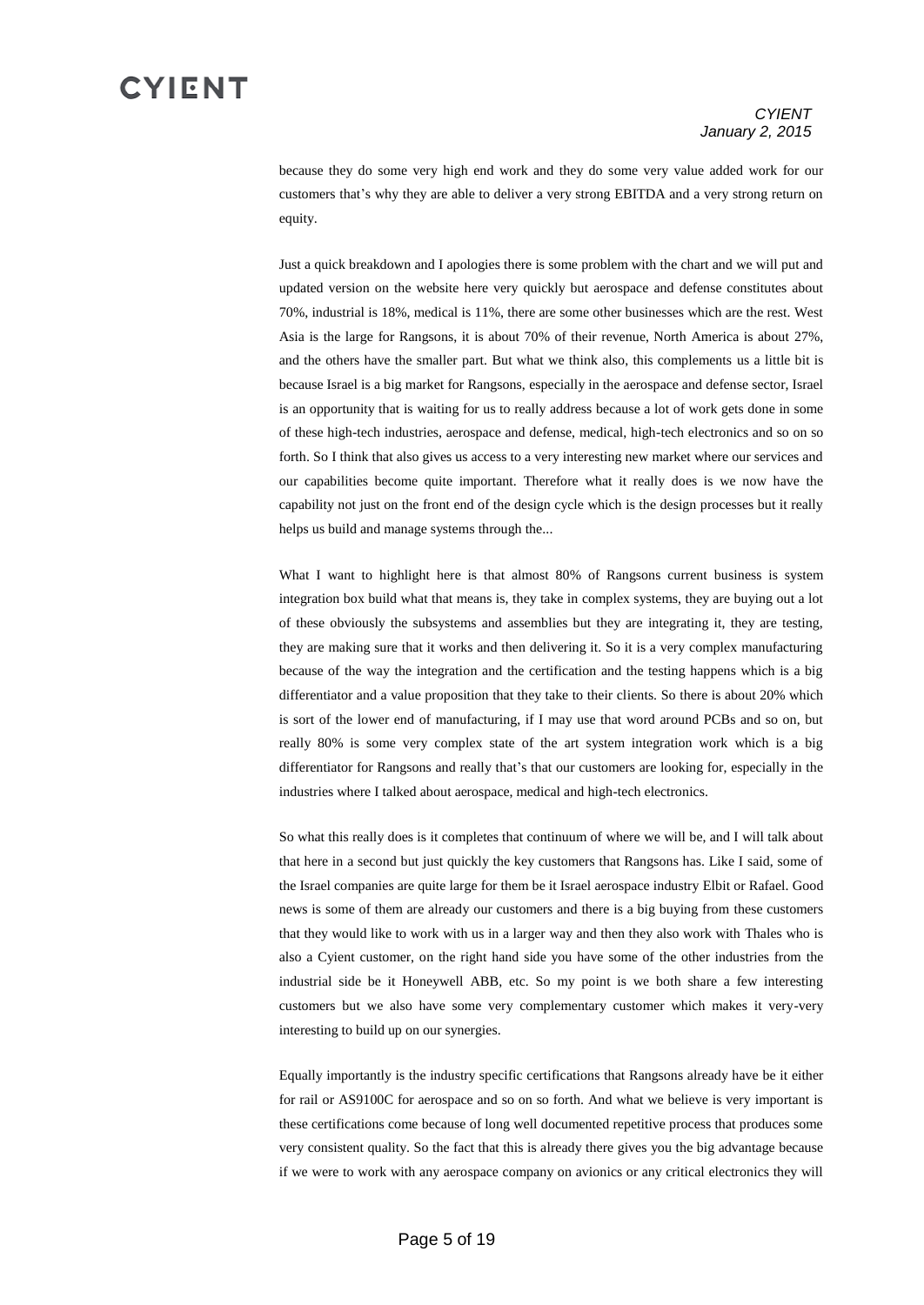#### *CYIENT January 2, 2015*

because they do some very high end work and they do some very value added work for our customers that's why they are able to deliver a very strong EBITDA and a very strong return on equity.

Just a quick breakdown and I apologies there is some problem with the chart and we will put and updated version on the website here very quickly but aerospace and defense constitutes about 70%, industrial is 18%, medical is 11%, there are some other businesses which are the rest. West Asia is the large for Rangsons, it is about 70% of their revenue, North America is about 27%, and the others have the smaller part. But what we think also, this complements us a little bit is because Israel is a big market for Rangsons, especially in the aerospace and defense sector, Israel is an opportunity that is waiting for us to really address because a lot of work gets done in some of these high-tech industries, aerospace and defense, medical, high-tech electronics and so on so forth. So I think that also gives us access to a very interesting new market where our services and our capabilities become quite important. Therefore what it really does is we now have the capability not just on the front end of the design cycle which is the design processes but it really helps us build and manage systems through the...

What I want to highlight here is that almost 80% of Rangsons current business is system integration box build what that means is, they take in complex systems, they are buying out a lot of these obviously the subsystems and assemblies but they are integrating it, they are testing, they are making sure that it works and then delivering it. So it is a very complex manufacturing because of the way the integration and the certification and the testing happens which is a big differentiator and a value proposition that they take to their clients. So there is about 20% which is sort of the lower end of manufacturing, if I may use that word around PCBs and so on, but really 80% is some very complex state of the art system integration work which is a big differentiator for Rangsons and really that's that our customers are looking for, especially in the industries where I talked about aerospace, medical and high-tech electronics.

So what this really does is it completes that continuum of where we will be, and I will talk about that here in a second but just quickly the key customers that Rangsons has. Like I said, some of the Israel companies are quite large for them be it Israel aerospace industry Elbit or Rafael. Good news is some of them are already our customers and there is a big buying from these customers that they would like to work with us in a larger way and then they also work with Thales who is also a Cyient customer, on the right hand side you have some of the other industries from the industrial side be it Honeywell ABB, etc. So my point is we both share a few interesting customers but we also have some very complementary customer which makes it very-very interesting to build up on our synergies.

Equally importantly is the industry specific certifications that Rangsons already have be it either for rail or AS9100C for aerospace and so on so forth. And what we believe is very important is these certifications come because of long well documented repetitive process that produces some very consistent quality. So the fact that this is already there gives you the big advantage because if we were to work with any aerospace company on avionics or any critical electronics they will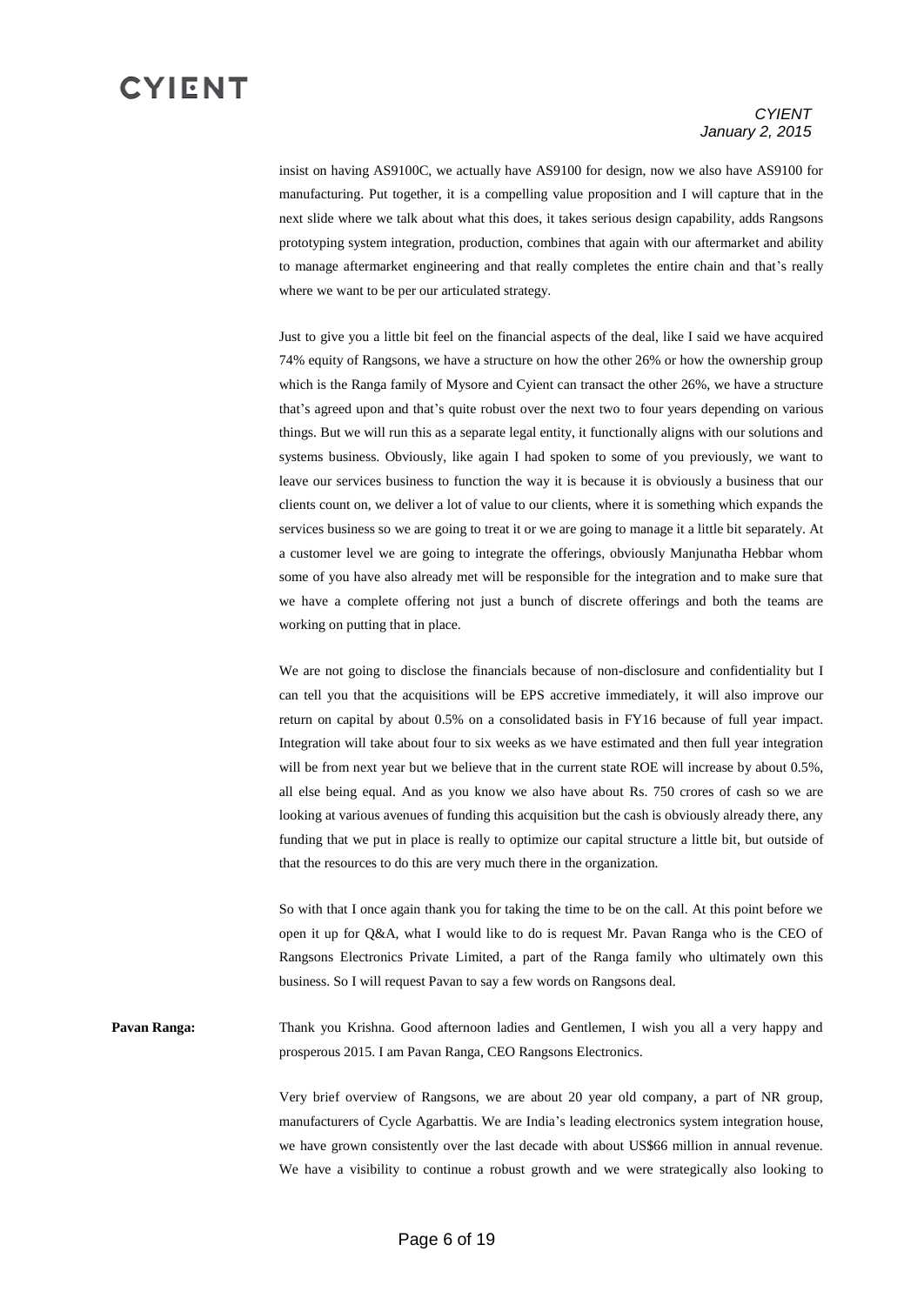#### *CYIENT January 2, 2015*

insist on having AS9100C, we actually have AS9100 for design, now we also have AS9100 for manufacturing. Put together, it is a compelling value proposition and I will capture that in the next slide where we talk about what this does, it takes serious design capability, adds Rangsons prototyping system integration, production, combines that again with our aftermarket and ability to manage aftermarket engineering and that really completes the entire chain and that's really where we want to be per our articulated strategy.

Just to give you a little bit feel on the financial aspects of the deal, like I said we have acquired 74% equity of Rangsons, we have a structure on how the other 26% or how the ownership group which is the Ranga family of Mysore and Cyient can transact the other 26%, we have a structure that's agreed upon and that's quite robust over the next two to four years depending on various things. But we will run this as a separate legal entity, it functionally aligns with our solutions and systems business. Obviously, like again I had spoken to some of you previously, we want to leave our services business to function the way it is because it is obviously a business that our clients count on, we deliver a lot of value to our clients, where it is something which expands the services business so we are going to treat it or we are going to manage it a little bit separately. At a customer level we are going to integrate the offerings, obviously Manjunatha Hebbar whom some of you have also already met will be responsible for the integration and to make sure that we have a complete offering not just a bunch of discrete offerings and both the teams are working on putting that in place.

We are not going to disclose the financials because of non-disclosure and confidentiality but I can tell you that the acquisitions will be EPS accretive immediately, it will also improve our return on capital by about 0.5% on a consolidated basis in FY16 because of full year impact. Integration will take about four to six weeks as we have estimated and then full year integration will be from next year but we believe that in the current state ROE will increase by about 0.5%, all else being equal. And as you know we also have about Rs. 750 crores of cash so we are looking at various avenues of funding this acquisition but the cash is obviously already there, any funding that we put in place is really to optimize our capital structure a little bit, but outside of that the resources to do this are very much there in the organization.

So with that I once again thank you for taking the time to be on the call. At this point before we open it up for Q&A, what I would like to do is request Mr. Pavan Ranga who is the CEO of Rangsons Electronics Private Limited, a part of the Ranga family who ultimately own this business. So I will request Pavan to say a few words on Rangsons deal.

**Pavan Ranga:** Thank you Krishna. Good afternoon ladies and Gentlemen, I wish you all a very happy and prosperous 2015. I am Pavan Ranga, CEO Rangsons Electronics.

> Very brief overview of Rangsons, we are about 20 year old company, a part of NR group, manufacturers of Cycle Agarbattis. We are India's leading electronics system integration house, we have grown consistently over the last decade with about US\$66 million in annual revenue. We have a visibility to continue a robust growth and we were strategically also looking to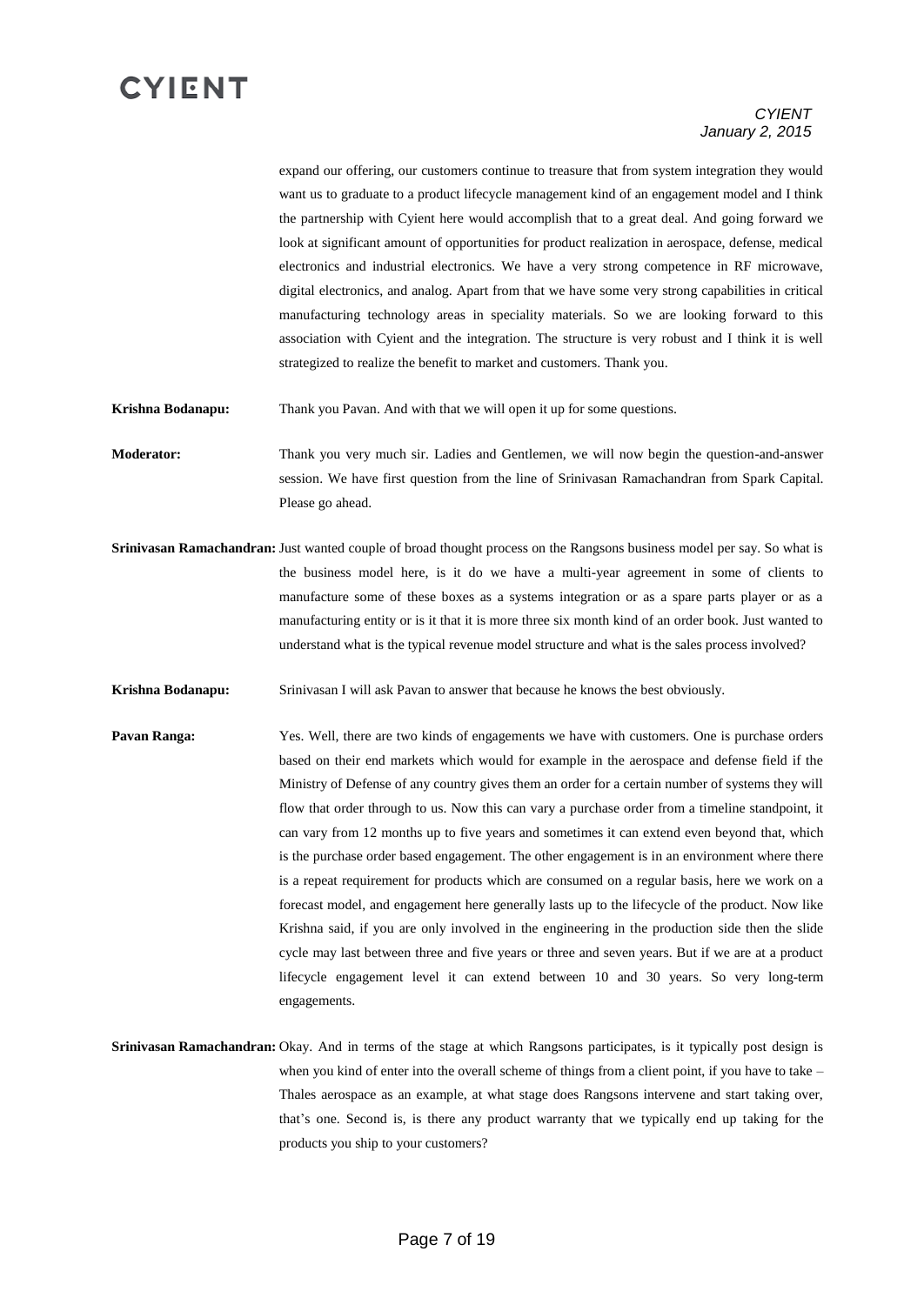#### *CYIENT January 2, 2015*

expand our offering, our customers continue to treasure that from system integration they would want us to graduate to a product lifecycle management kind of an engagement model and I think the partnership with Cyient here would accomplish that to a great deal. And going forward we look at significant amount of opportunities for product realization in aerospace, defense, medical electronics and industrial electronics. We have a very strong competence in RF microwave, digital electronics, and analog. Apart from that we have some very strong capabilities in critical manufacturing technology areas in speciality materials. So we are looking forward to this association with Cyient and the integration. The structure is very robust and I think it is well strategized to realize the benefit to market and customers. Thank you.

**Krishna Bodanapu:** Thank you Pavan. And with that we will open it up for some questions.

**Moderator:** Thank you very much sir. Ladies and Gentlemen, we will now begin the question-and-answer session. We have first question from the line of Srinivasan Ramachandran from Spark Capital. Please go ahead.

- **Srinivasan Ramachandran:** Just wanted couple of broad thought process on the Rangsons business model per say. So what is the business model here, is it do we have a multi-year agreement in some of clients to manufacture some of these boxes as a systems integration or as a spare parts player or as a manufacturing entity or is it that it is more three six month kind of an order book. Just wanted to understand what is the typical revenue model structure and what is the sales process involved?
- **Krishna Bodanapu:** Srinivasan I will ask Pavan to answer that because he knows the best obviously.
- **Pavan Ranga:** Yes. Well, there are two kinds of engagements we have with customers. One is purchase orders based on their end markets which would for example in the aerospace and defense field if the Ministry of Defense of any country gives them an order for a certain number of systems they will flow that order through to us. Now this can vary a purchase order from a timeline standpoint, it can vary from 12 months up to five years and sometimes it can extend even beyond that, which is the purchase order based engagement. The other engagement is in an environment where there is a repeat requirement for products which are consumed on a regular basis, here we work on a forecast model, and engagement here generally lasts up to the lifecycle of the product. Now like Krishna said, if you are only involved in the engineering in the production side then the slide cycle may last between three and five years or three and seven years. But if we are at a product lifecycle engagement level it can extend between 10 and 30 years. So very long-term engagements.
- **Srinivasan Ramachandran:** Okay. And in terms of the stage at which Rangsons participates, is it typically post design is when you kind of enter into the overall scheme of things from a client point, if you have to take – Thales aerospace as an example, at what stage does Rangsons intervene and start taking over, that's one. Second is, is there any product warranty that we typically end up taking for the products you ship to your customers?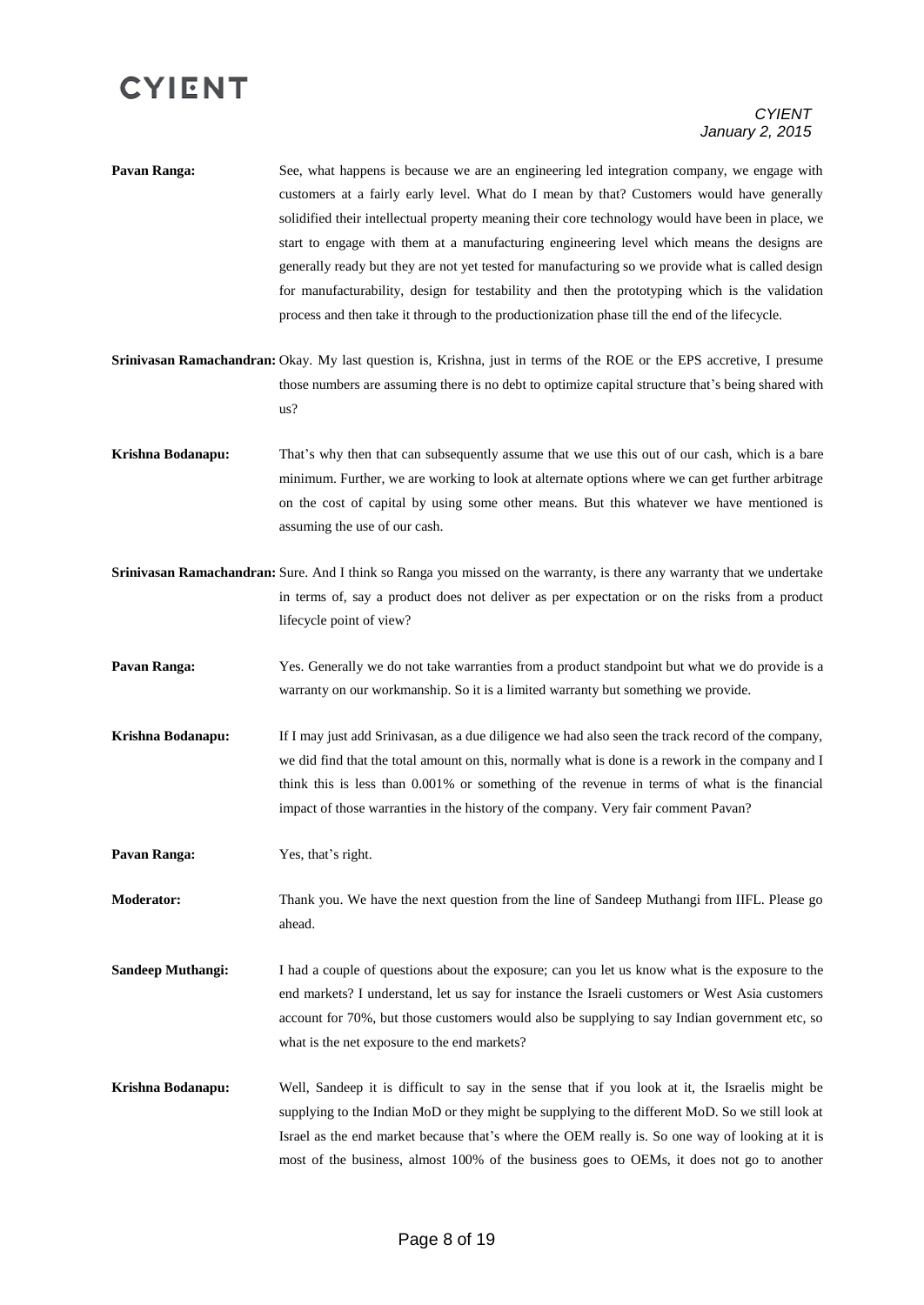#### *CYIENT January 2, 2015*

- **Pavan Ranga:** See, what happens is because we are an engineering led integration company, we engage with customers at a fairly early level. What do I mean by that? Customers would have generally solidified their intellectual property meaning their core technology would have been in place, we start to engage with them at a manufacturing engineering level which means the designs are generally ready but they are not yet tested for manufacturing so we provide what is called design for manufacturability, design for testability and then the prototyping which is the validation process and then take it through to the productionization phase till the end of the lifecycle.
- **Srinivasan Ramachandran:** Okay. My last question is, Krishna, just in terms of the ROE or the EPS accretive, I presume those numbers are assuming there is no debt to optimize capital structure that's being shared with us?
- **Krishna Bodanapu:** That's why then that can subsequently assume that we use this out of our cash, which is a bare minimum. Further, we are working to look at alternate options where we can get further arbitrage on the cost of capital by using some other means. But this whatever we have mentioned is assuming the use of our cash.
- **Srinivasan Ramachandran:** Sure. And I think so Ranga you missed on the warranty, is there any warranty that we undertake in terms of, say a product does not deliver as per expectation or on the risks from a product lifecycle point of view?
- **Pavan Ranga:** Yes. Generally we do not take warranties from a product standpoint but what we do provide is a warranty on our workmanship. So it is a limited warranty but something we provide.
- **Krishna Bodanapu:** If I may just add Srinivasan, as a due diligence we had also seen the track record of the company, we did find that the total amount on this, normally what is done is a rework in the company and I think this is less than 0.001% or something of the revenue in terms of what is the financial impact of those warranties in the history of the company. Very fair comment Pavan?

**Pavan Ranga:** Yes, that's right.

**Moderator:** Thank you. We have the next question from the line of Sandeep Muthangi from IIFL. Please go ahead.

- **Sandeep Muthangi:** I had a couple of questions about the exposure; can you let us know what is the exposure to the end markets? I understand, let us say for instance the Israeli customers or West Asia customers account for 70%, but those customers would also be supplying to say Indian government etc, so what is the net exposure to the end markets?
- **Krishna Bodanapu:** Well, Sandeep it is difficult to say in the sense that if you look at it, the Israelis might be supplying to the Indian MoD or they might be supplying to the different MoD. So we still look at Israel as the end market because that's where the OEM really is. So one way of looking at it is most of the business, almost 100% of the business goes to OEMs, it does not go to another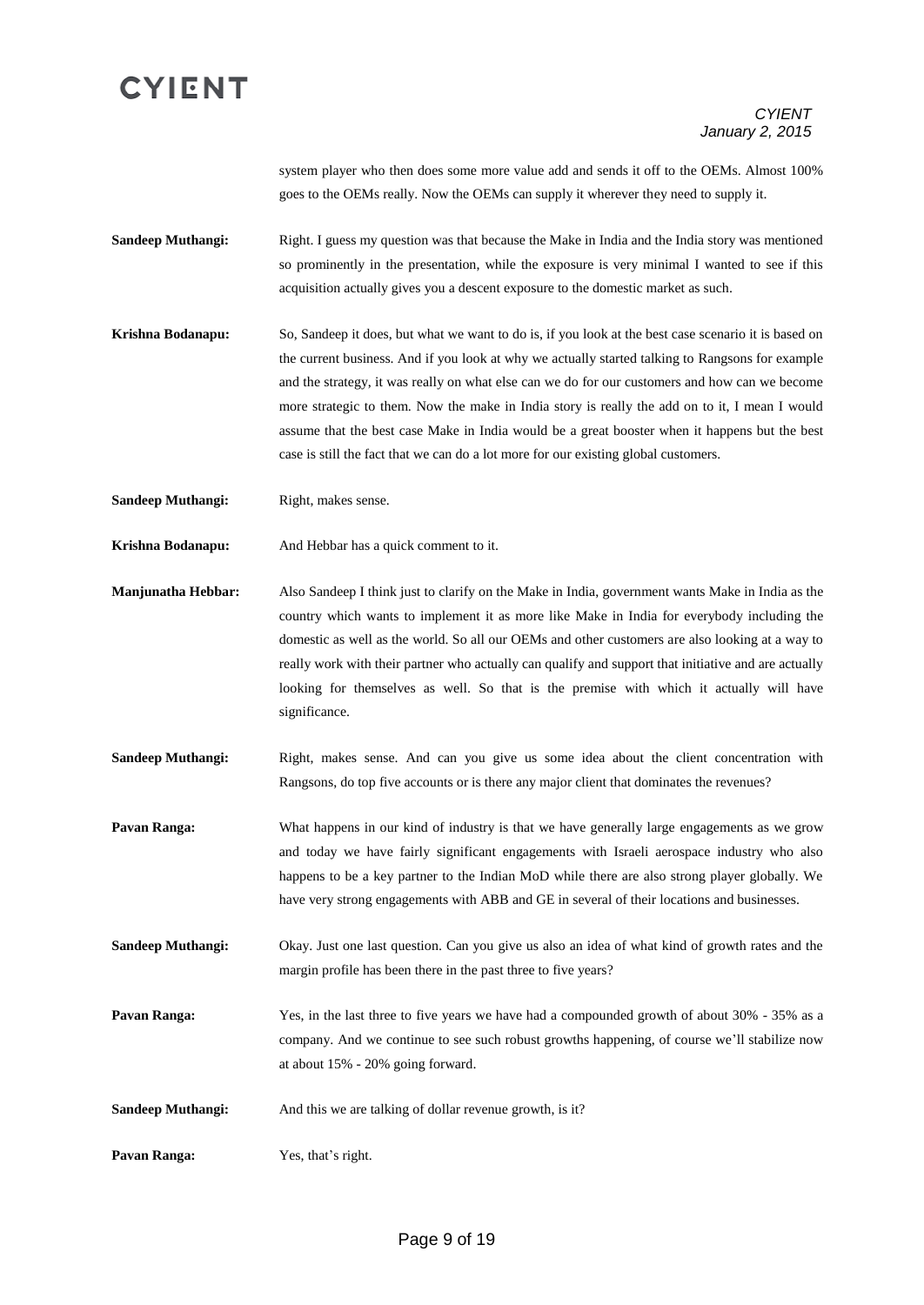system player who then does some more value add and sends it off to the OEMs. Almost 100% goes to the OEMs really. Now the OEMs can supply it wherever they need to supply it.

- **Sandeep Muthangi:** Right. I guess my question was that because the Make in India and the India story was mentioned so prominently in the presentation, while the exposure is very minimal I wanted to see if this acquisition actually gives you a descent exposure to the domestic market as such.
- **Krishna Bodanapu:** So, Sandeep it does, but what we want to do is, if you look at the best case scenario it is based on the current business. And if you look at why we actually started talking to Rangsons for example and the strategy, it was really on what else can we do for our customers and how can we become more strategic to them. Now the make in India story is really the add on to it, I mean I would assume that the best case Make in India would be a great booster when it happens but the best case is still the fact that we can do a lot more for our existing global customers.
- **Sandeep Muthangi:** Right, makes sense.
- **Krishna Bodanapu:** And Hebbar has a quick comment to it.
- **Manjunatha Hebbar:** Also Sandeep I think just to clarify on the Make in India, government wants Make in India as the country which wants to implement it as more like Make in India for everybody including the domestic as well as the world. So all our OEMs and other customers are also looking at a way to really work with their partner who actually can qualify and support that initiative and are actually looking for themselves as well. So that is the premise with which it actually will have significance.
- **Sandeep Muthangi:** Right, makes sense. And can you give us some idea about the client concentration with Rangsons, do top five accounts or is there any major client that dominates the revenues?
- **Pavan Ranga:** What happens in our kind of industry is that we have generally large engagements as we grow and today we have fairly significant engagements with Israeli aerospace industry who also happens to be a key partner to the Indian MoD while there are also strong player globally. We have very strong engagements with ABB and GE in several of their locations and businesses.
- **Sandeep Muthangi:** Okay. Just one last question. Can you give us also an idea of what kind of growth rates and the margin profile has been there in the past three to five years?
- **Pavan Ranga:** Yes, in the last three to five years we have had a compounded growth of about 30% 35% as a company. And we continue to see such robust growths happening, of course we'll stabilize now at about 15% - 20% going forward.
- **Sandeep Muthangi:** And this we are talking of dollar revenue growth, is it?
- **Pavan Ranga:** Yes, that's right.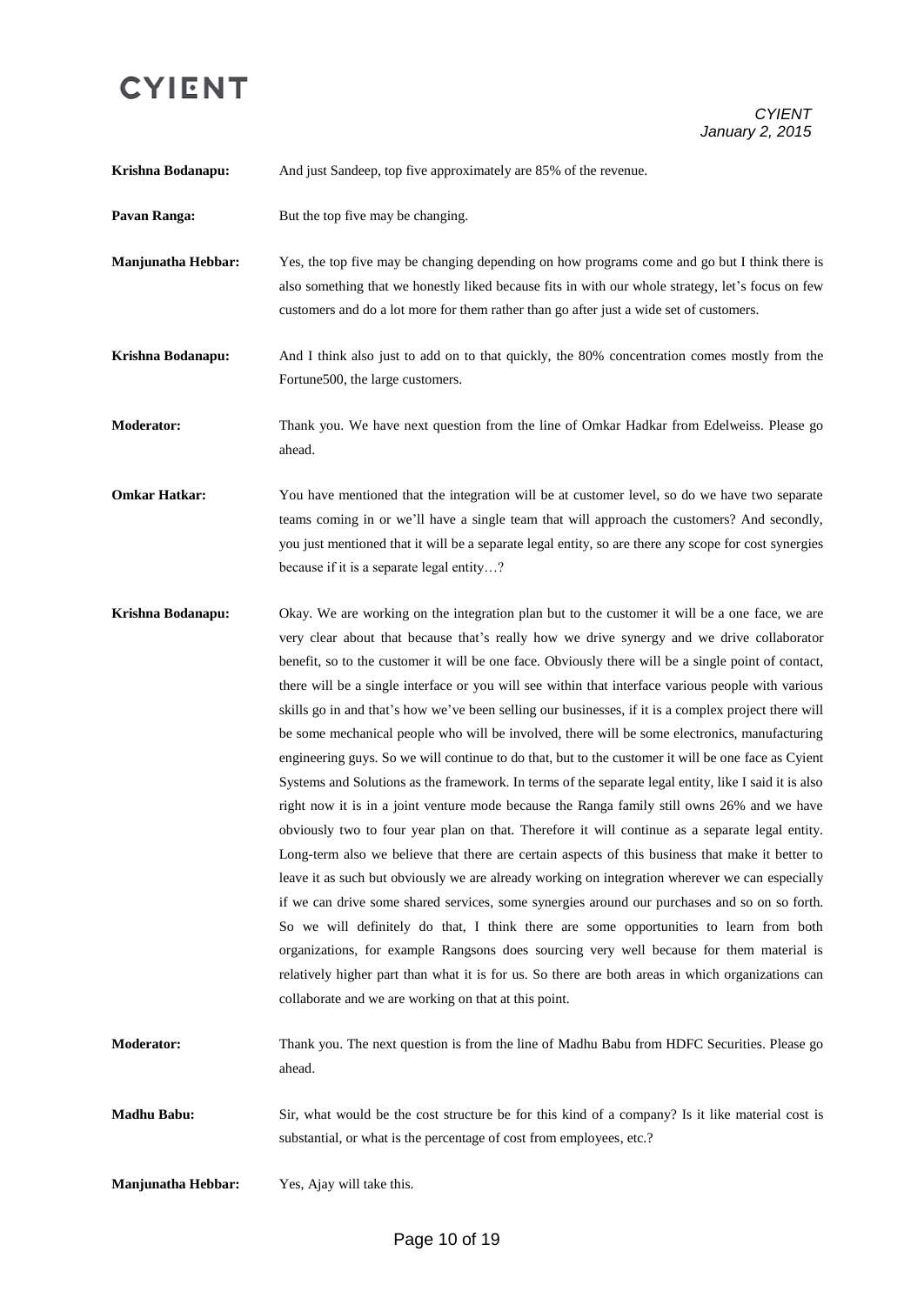*CYIENT January 2, 2015*

| Krishna Bodanapu:         | And just Sandeep, top five approximately are 85% of the revenue.                                                                                                                                                                                                                                                                                                                                                                                                                                                                                                                                                                                                                                                                                                                                                                                                                                                                                                                                                                                                                                                                                                                                                                                                                                                                                                                                                                                                                                                                                                                                                                                                                                 |
|---------------------------|--------------------------------------------------------------------------------------------------------------------------------------------------------------------------------------------------------------------------------------------------------------------------------------------------------------------------------------------------------------------------------------------------------------------------------------------------------------------------------------------------------------------------------------------------------------------------------------------------------------------------------------------------------------------------------------------------------------------------------------------------------------------------------------------------------------------------------------------------------------------------------------------------------------------------------------------------------------------------------------------------------------------------------------------------------------------------------------------------------------------------------------------------------------------------------------------------------------------------------------------------------------------------------------------------------------------------------------------------------------------------------------------------------------------------------------------------------------------------------------------------------------------------------------------------------------------------------------------------------------------------------------------------------------------------------------------------|
| Pavan Ranga:              | But the top five may be changing.                                                                                                                                                                                                                                                                                                                                                                                                                                                                                                                                                                                                                                                                                                                                                                                                                                                                                                                                                                                                                                                                                                                                                                                                                                                                                                                                                                                                                                                                                                                                                                                                                                                                |
| <b>Manjunatha Hebbar:</b> | Yes, the top five may be changing depending on how programs come and go but I think there is<br>also something that we honestly liked because fits in with our whole strategy, let's focus on few<br>customers and do a lot more for them rather than go after just a wide set of customers.                                                                                                                                                                                                                                                                                                                                                                                                                                                                                                                                                                                                                                                                                                                                                                                                                                                                                                                                                                                                                                                                                                                                                                                                                                                                                                                                                                                                     |
| Krishna Bodanapu:         | And I think also just to add on to that quickly, the 80% concentration comes mostly from the<br>Fortune500, the large customers.                                                                                                                                                                                                                                                                                                                                                                                                                                                                                                                                                                                                                                                                                                                                                                                                                                                                                                                                                                                                                                                                                                                                                                                                                                                                                                                                                                                                                                                                                                                                                                 |
| <b>Moderator:</b>         | Thank you. We have next question from the line of Omkar Hadkar from Edelweiss. Please go<br>ahead.                                                                                                                                                                                                                                                                                                                                                                                                                                                                                                                                                                                                                                                                                                                                                                                                                                                                                                                                                                                                                                                                                                                                                                                                                                                                                                                                                                                                                                                                                                                                                                                               |
| <b>Omkar Hatkar:</b>      | You have mentioned that the integration will be at customer level, so do we have two separate<br>teams coming in or we'll have a single team that will approach the customers? And secondly,<br>you just mentioned that it will be a separate legal entity, so are there any scope for cost synergies<br>because if it is a separate legal entity?                                                                                                                                                                                                                                                                                                                                                                                                                                                                                                                                                                                                                                                                                                                                                                                                                                                                                                                                                                                                                                                                                                                                                                                                                                                                                                                                               |
| Krishna Bodanapu:         | Okay. We are working on the integration plan but to the customer it will be a one face, we are<br>very clear about that because that's really how we drive synergy and we drive collaborator<br>benefit, so to the customer it will be one face. Obviously there will be a single point of contact,<br>there will be a single interface or you will see within that interface various people with various<br>skills go in and that's how we've been selling our businesses, if it is a complex project there will<br>be some mechanical people who will be involved, there will be some electronics, manufacturing<br>engineering guys. So we will continue to do that, but to the customer it will be one face as Cyient<br>Systems and Solutions as the framework. In terms of the separate legal entity, like I said it is also<br>right now it is in a joint venture mode because the Ranga family still owns 26% and we have<br>obviously two to four year plan on that. Therefore it will continue as a separate legal entity.<br>Long-term also we believe that there are certain aspects of this business that make it better to<br>leave it as such but obviously we are already working on integration wherever we can especially<br>if we can drive some shared services, some synergies around our purchases and so on so forth.<br>So we will definitely do that, I think there are some opportunities to learn from both<br>organizations, for example Rangsons does sourcing very well because for them material is<br>relatively higher part than what it is for us. So there are both areas in which organizations can<br>collaborate and we are working on that at this point. |
| <b>Moderator:</b>         | Thank you. The next question is from the line of Madhu Babu from HDFC Securities. Please go<br>ahead.                                                                                                                                                                                                                                                                                                                                                                                                                                                                                                                                                                                                                                                                                                                                                                                                                                                                                                                                                                                                                                                                                                                                                                                                                                                                                                                                                                                                                                                                                                                                                                                            |
| <b>Madhu Babu:</b>        | Sir, what would be the cost structure be for this kind of a company? Is it like material cost is<br>substantial, or what is the percentage of cost from employees, etc.?                                                                                                                                                                                                                                                                                                                                                                                                                                                                                                                                                                                                                                                                                                                                                                                                                                                                                                                                                                                                                                                                                                                                                                                                                                                                                                                                                                                                                                                                                                                         |
| <b>Manjunatha Hebbar:</b> | Yes, Ajay will take this.                                                                                                                                                                                                                                                                                                                                                                                                                                                                                                                                                                                                                                                                                                                                                                                                                                                                                                                                                                                                                                                                                                                                                                                                                                                                                                                                                                                                                                                                                                                                                                                                                                                                        |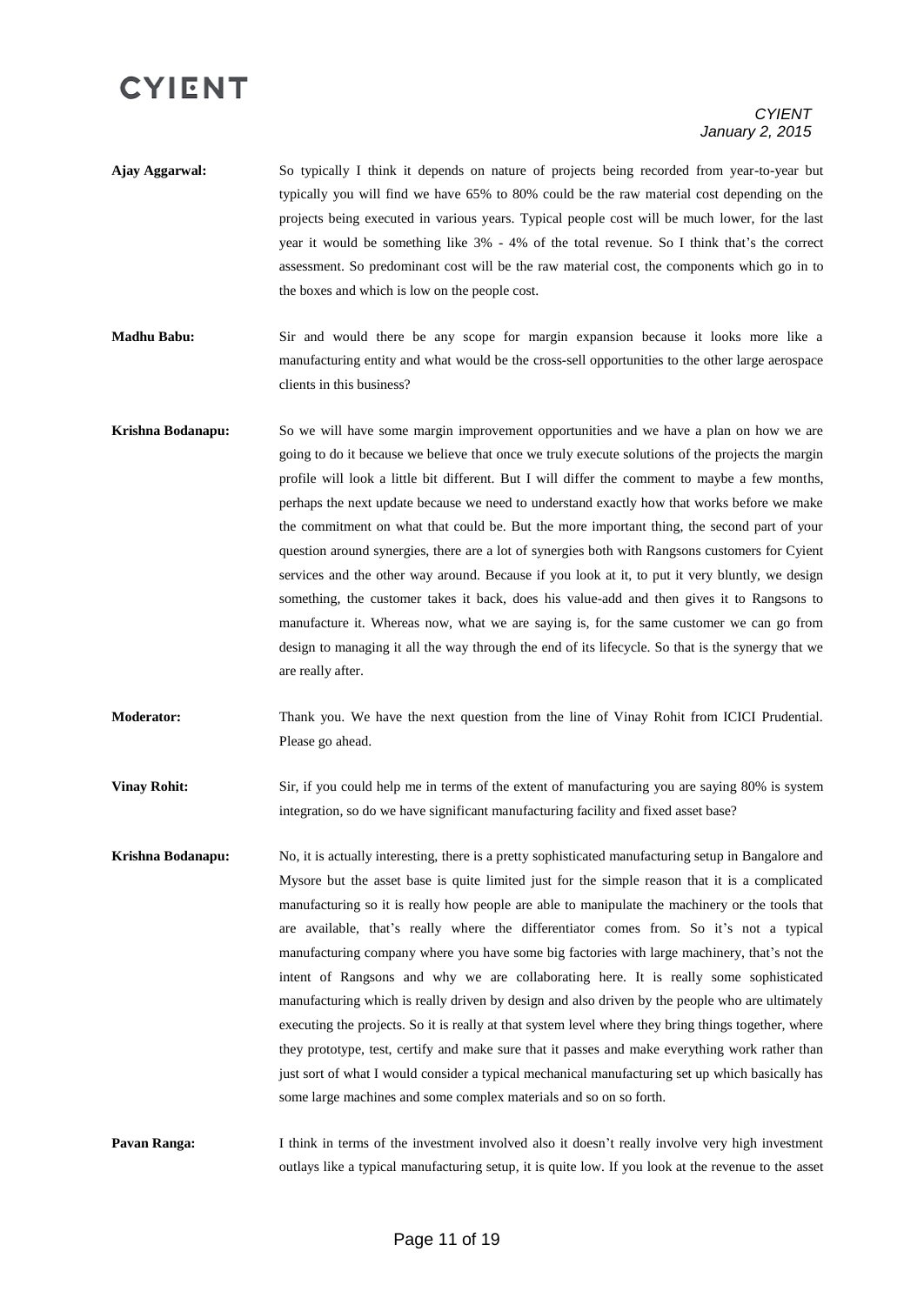#### *CYIENT January 2, 2015*

- **Ajay Aggarwal:** So typically I think it depends on nature of projects being recorded from year-to-year but typically you will find we have 65% to 80% could be the raw material cost depending on the projects being executed in various years. Typical people cost will be much lower, for the last year it would be something like 3% - 4% of the total revenue. So I think that's the correct assessment. So predominant cost will be the raw material cost, the components which go in to the boxes and which is low on the people cost.
- **Madhu Babu:** Sir and would there be any scope for margin expansion because it looks more like a manufacturing entity and what would be the cross-sell opportunities to the other large aerospace clients in this business?
- **Krishna Bodanapu:** So we will have some margin improvement opportunities and we have a plan on how we are going to do it because we believe that once we truly execute solutions of the projects the margin profile will look a little bit different. But I will differ the comment to maybe a few months, perhaps the next update because we need to understand exactly how that works before we make the commitment on what that could be. But the more important thing, the second part of your question around synergies, there are a lot of synergies both with Rangsons customers for Cyient services and the other way around. Because if you look at it, to put it very bluntly, we design something, the customer takes it back, does his value-add and then gives it to Rangsons to manufacture it. Whereas now, what we are saying is, for the same customer we can go from design to managing it all the way through the end of its lifecycle. So that is the synergy that we are really after.
- **Moderator:** Thank you. We have the next question from the line of Vinay Rohit from ICICI Prudential. Please go ahead.

**Vinay Rohit:** Sir, if you could help me in terms of the extent of manufacturing you are saying 80% is system integration, so do we have significant manufacturing facility and fixed asset base?

**Krishna Bodanapu:** No, it is actually interesting, there is a pretty sophisticated manufacturing setup in Bangalore and Mysore but the asset base is quite limited just for the simple reason that it is a complicated manufacturing so it is really how people are able to manipulate the machinery or the tools that are available, that's really where the differentiator comes from. So it's not a typical manufacturing company where you have some big factories with large machinery, that's not the intent of Rangsons and why we are collaborating here. It is really some sophisticated manufacturing which is really driven by design and also driven by the people who are ultimately executing the projects. So it is really at that system level where they bring things together, where they prototype, test, certify and make sure that it passes and make everything work rather than just sort of what I would consider a typical mechanical manufacturing set up which basically has some large machines and some complex materials and so on so forth.

**Pavan Ranga:** I think in terms of the investment involved also it doesn't really involve very high investment outlays like a typical manufacturing setup, it is quite low. If you look at the revenue to the asset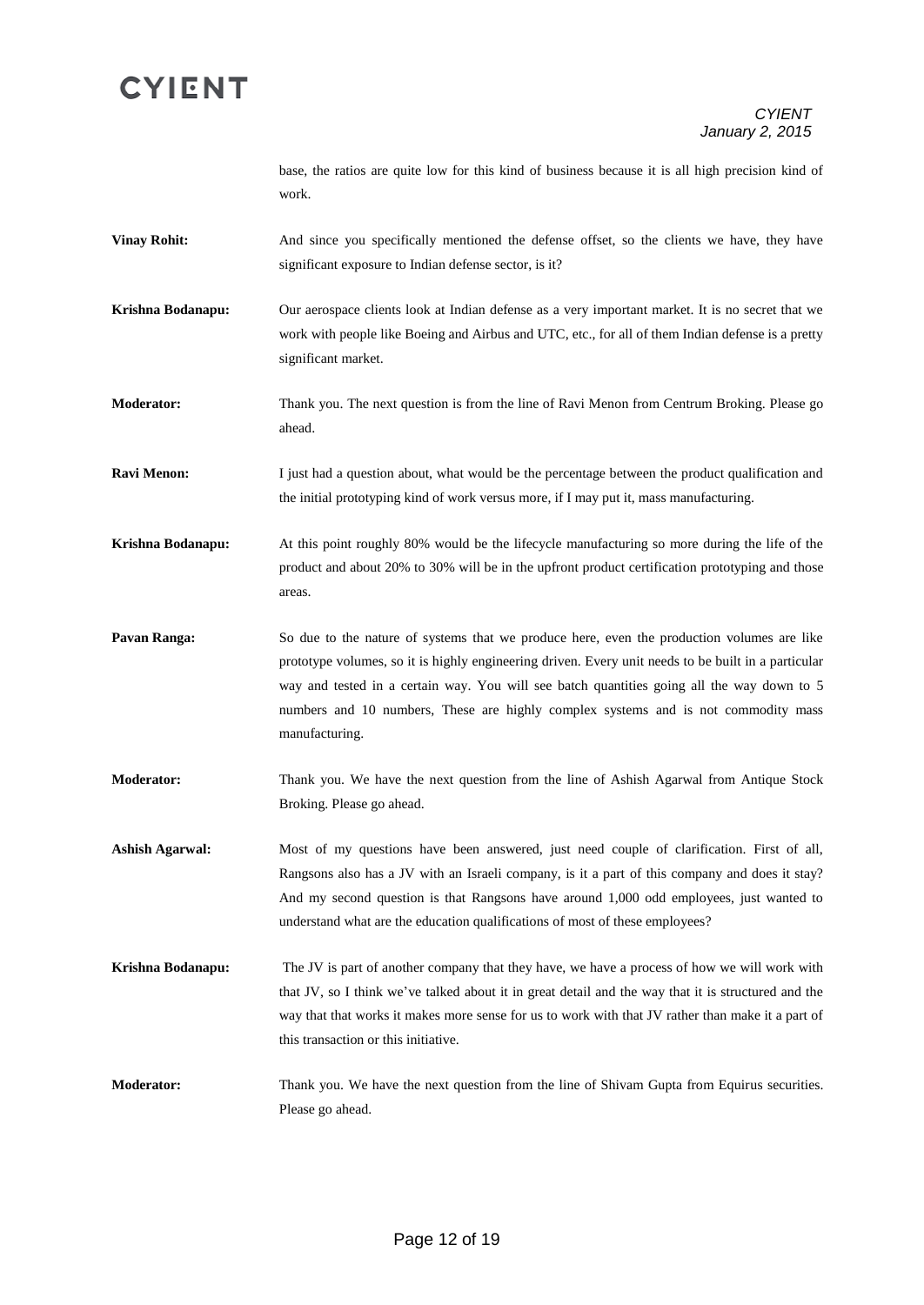base, the ratios are quite low for this kind of business because it is all high precision kind of work.

- **Vinay Rohit:** And since you specifically mentioned the defense offset, so the clients we have, they have significant exposure to Indian defense sector, is it?
- **Krishna Bodanapu:** Our aerospace clients look at Indian defense as a very important market. It is no secret that we work with people like Boeing and Airbus and UTC, etc., for all of them Indian defense is a pretty significant market.

**Moderator:** Thank you. The next question is from the line of Ravi Menon from Centrum Broking. Please go ahead.

**Ravi Menon:** I just had a question about, what would be the percentage between the product qualification and the initial prototyping kind of work versus more, if I may put it, mass manufacturing.

**Krishna Bodanapu:** At this point roughly 80% would be the lifecycle manufacturing so more during the life of the product and about 20% to 30% will be in the upfront product certification prototyping and those areas.

**Pavan Ranga:** So due to the nature of systems that we produce here, even the production volumes are like prototype volumes, so it is highly engineering driven. Every unit needs to be built in a particular way and tested in a certain way. You will see batch quantities going all the way down to 5 numbers and 10 numbers, These are highly complex systems and is not commodity mass manufacturing.

**Moderator:** Thank you. We have the next question from the line of Ashish Agarwal from Antique Stock Broking. Please go ahead.

**Ashish Agarwal:** Most of my questions have been answered, just need couple of clarification. First of all, Rangsons also has a JV with an Israeli company, is it a part of this company and does it stay? And my second question is that Rangsons have around 1,000 odd employees, just wanted to understand what are the education qualifications of most of these employees?

- **Krishna Bodanapu:** The JV is part of another company that they have, we have a process of how we will work with that JV, so I think we've talked about it in great detail and the way that it is structured and the way that that works it makes more sense for us to work with that JV rather than make it a part of this transaction or this initiative.
- **Moderator:** Thank you. We have the next question from the line of Shivam Gupta from Equirus securities. Please go ahead.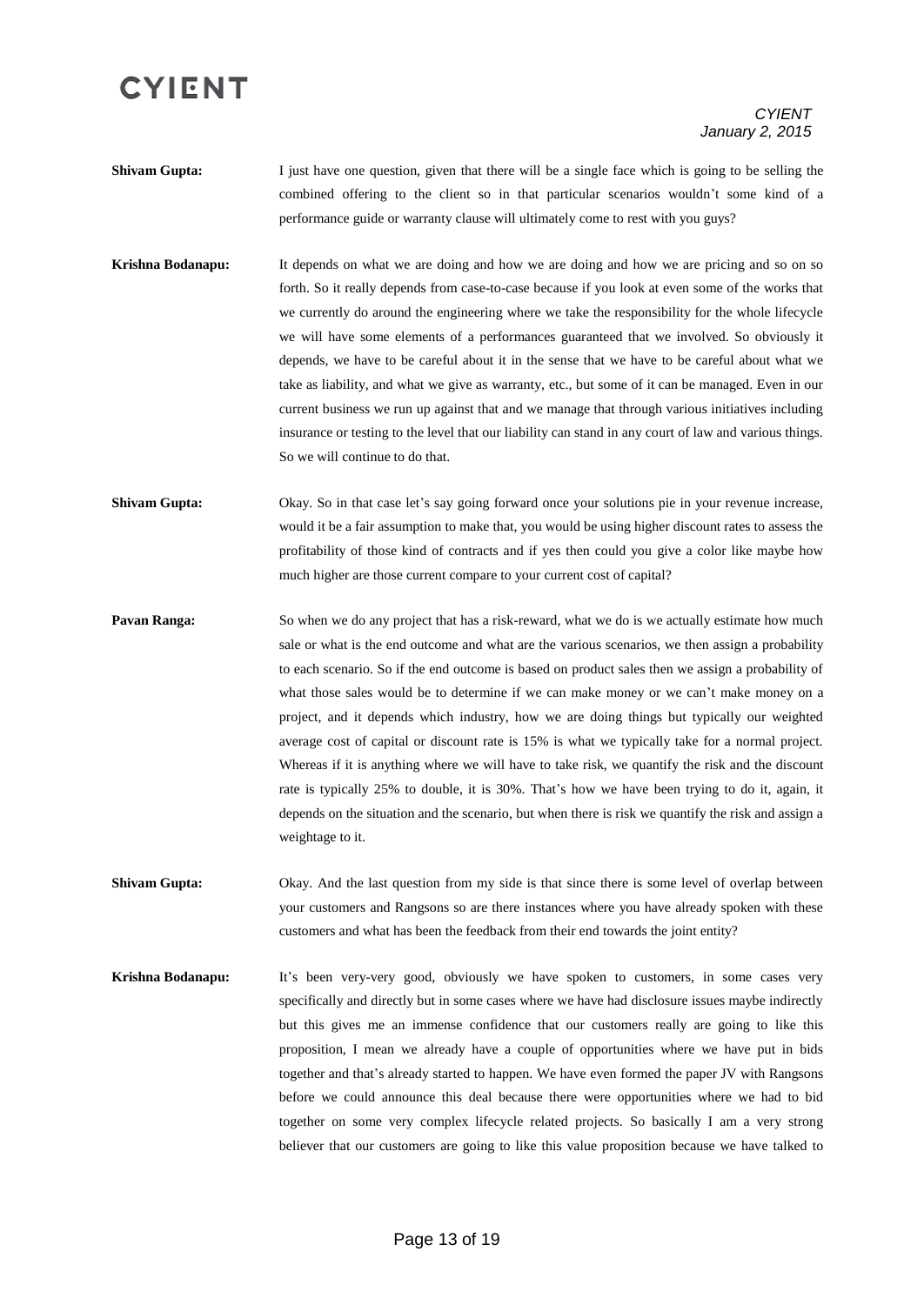#### *CYIENT January 2, 2015*

- **Shivam Gupta:** I just have one question, given that there will be a single face which is going to be selling the combined offering to the client so in that particular scenarios wouldn't some kind of a performance guide or warranty clause will ultimately come to rest with you guys?
- **Krishna Bodanapu:** It depends on what we are doing and how we are doing and how we are pricing and so on so forth. So it really depends from case-to-case because if you look at even some of the works that we currently do around the engineering where we take the responsibility for the whole lifecycle we will have some elements of a performances guaranteed that we involved. So obviously it depends, we have to be careful about it in the sense that we have to be careful about what we take as liability, and what we give as warranty, etc., but some of it can be managed. Even in our current business we run up against that and we manage that through various initiatives including insurance or testing to the level that our liability can stand in any court of law and various things. So we will continue to do that.
- **Shivam Gupta:** Okay. So in that case let's say going forward once your solutions pie in your revenue increase, would it be a fair assumption to make that, you would be using higher discount rates to assess the profitability of those kind of contracts and if yes then could you give a color like maybe how much higher are those current compare to your current cost of capital?
- **Pavan Ranga:** So when we do any project that has a risk-reward, what we do is we actually estimate how much sale or what is the end outcome and what are the various scenarios, we then assign a probability to each scenario. So if the end outcome is based on product sales then we assign a probability of what those sales would be to determine if we can make money or we can't make money on a project, and it depends which industry, how we are doing things but typically our weighted average cost of capital or discount rate is 15% is what we typically take for a normal project. Whereas if it is anything where we will have to take risk, we quantify the risk and the discount rate is typically 25% to double, it is 30%. That's how we have been trying to do it, again, it depends on the situation and the scenario, but when there is risk we quantify the risk and assign a weightage to it.
- **Shivam Gupta:** Okay. And the last question from my side is that since there is some level of overlap between your customers and Rangsons so are there instances where you have already spoken with these customers and what has been the feedback from their end towards the joint entity?
- **Krishna Bodanapu:** It's been very-very good, obviously we have spoken to customers, in some cases very specifically and directly but in some cases where we have had disclosure issues maybe indirectly but this gives me an immense confidence that our customers really are going to like this proposition, I mean we already have a couple of opportunities where we have put in bids together and that's already started to happen. We have even formed the paper JV with Rangsons before we could announce this deal because there were opportunities where we had to bid together on some very complex lifecycle related projects. So basically I am a very strong believer that our customers are going to like this value proposition because we have talked to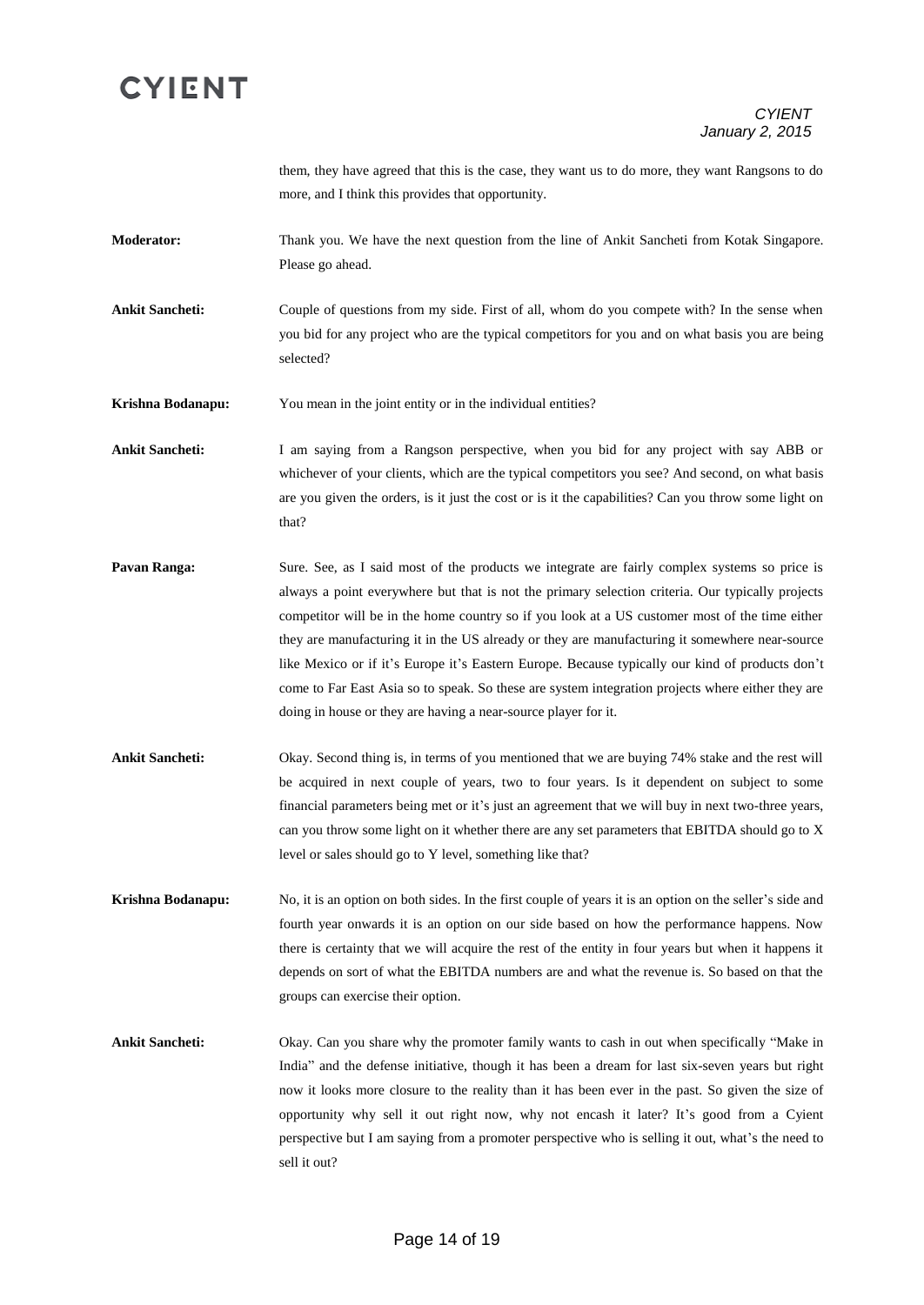them, they have agreed that this is the case, they want us to do more, they want Rangsons to do more, and I think this provides that opportunity.

**Moderator:** Thank you. We have the next question from the line of Ankit Sancheti from Kotak Singapore. Please go ahead.

**Ankit Sancheti:** Couple of questions from my side. First of all, whom do you compete with? In the sense when you bid for any project who are the typical competitors for you and on what basis you are being selected?

**Krishna Bodanapu:** You mean in the joint entity or in the individual entities?

**Ankit Sancheti:** I am saying from a Rangson perspective, when you bid for any project with say ABB or whichever of your clients, which are the typical competitors you see? And second, on what basis are you given the orders, is it just the cost or is it the capabilities? Can you throw some light on that?

- **Pavan Ranga:** Sure. See, as I said most of the products we integrate are fairly complex systems so price is always a point everywhere but that is not the primary selection criteria. Our typically projects competitor will be in the home country so if you look at a US customer most of the time either they are manufacturing it in the US already or they are manufacturing it somewhere near-source like Mexico or if it's Europe it's Eastern Europe. Because typically our kind of products don't come to Far East Asia so to speak. So these are system integration projects where either they are doing in house or they are having a near-source player for it.
- **Ankit Sancheti:** Okay. Second thing is, in terms of you mentioned that we are buying 74% stake and the rest will be acquired in next couple of years, two to four years. Is it dependent on subject to some financial parameters being met or it's just an agreement that we will buy in next two-three years, can you throw some light on it whether there are any set parameters that EBITDA should go to X level or sales should go to Y level, something like that?
- **Krishna Bodanapu:** No, it is an option on both sides. In the first couple of years it is an option on the seller's side and fourth year onwards it is an option on our side based on how the performance happens. Now there is certainty that we will acquire the rest of the entity in four years but when it happens it depends on sort of what the EBITDA numbers are and what the revenue is. So based on that the groups can exercise their option.
- **Ankit Sancheti:** Okay. Can you share why the promoter family wants to cash in out when specifically "Make in India" and the defense initiative, though it has been a dream for last six-seven years but right now it looks more closure to the reality than it has been ever in the past. So given the size of opportunity why sell it out right now, why not encash it later? It's good from a Cyient perspective but I am saying from a promoter perspective who is selling it out, what's the need to sell it out?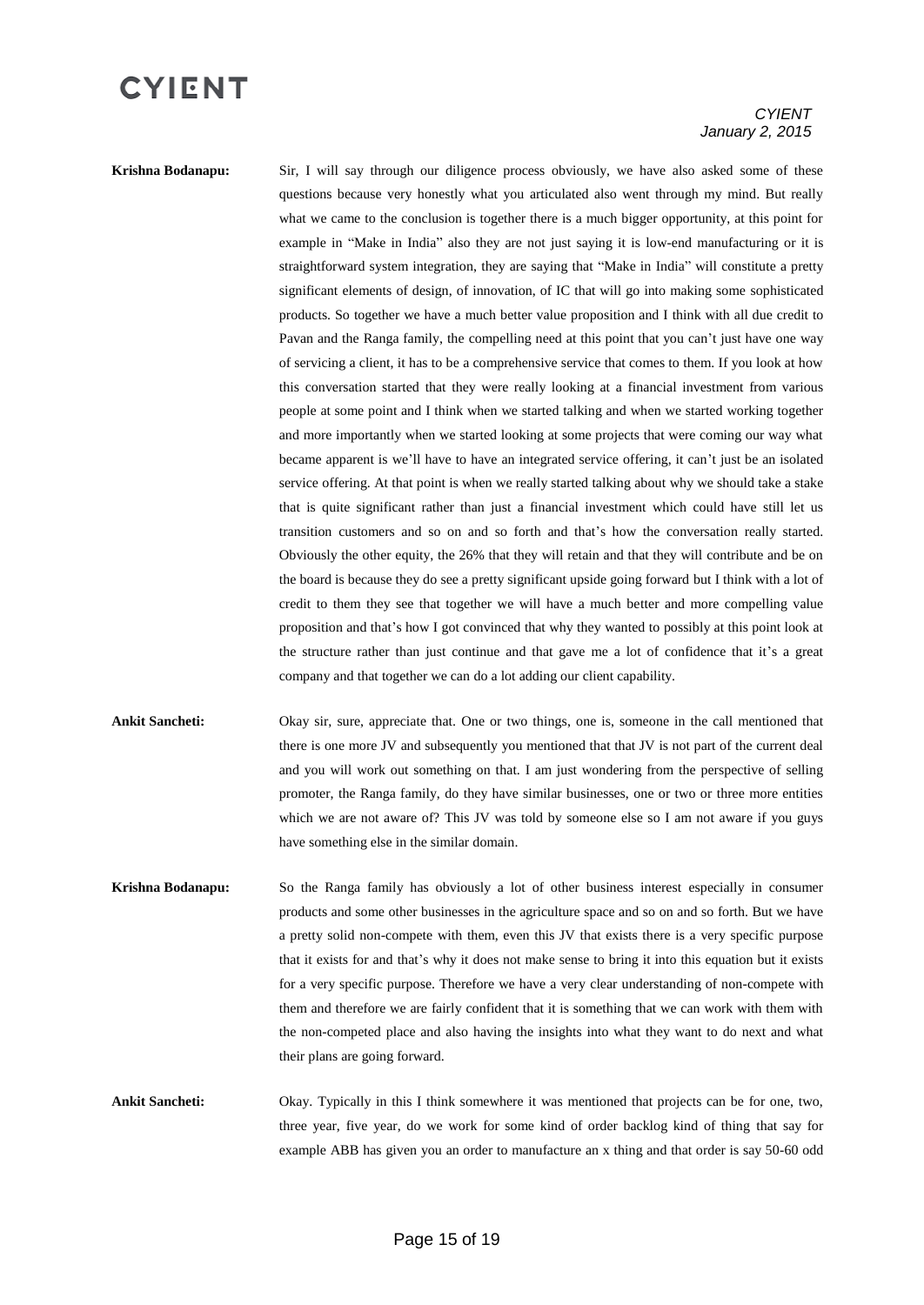#### *CYIENT January 2, 2015*

**Krishna Bodanapu:** Sir, I will say through our diligence process obviously, we have also asked some of these questions because very honestly what you articulated also went through my mind. But really what we came to the conclusion is together there is a much bigger opportunity, at this point for example in "Make in India" also they are not just saying it is low-end manufacturing or it is straightforward system integration, they are saying that "Make in India" will constitute a pretty significant elements of design, of innovation, of IC that will go into making some sophisticated products. So together we have a much better value proposition and I think with all due credit to Pavan and the Ranga family, the compelling need at this point that you can't just have one way of servicing a client, it has to be a comprehensive service that comes to them. If you look at how this conversation started that they were really looking at a financial investment from various people at some point and I think when we started talking and when we started working together and more importantly when we started looking at some projects that were coming our way what became apparent is we'll have to have an integrated service offering, it can't just be an isolated service offering. At that point is when we really started talking about why we should take a stake that is quite significant rather than just a financial investment which could have still let us transition customers and so on and so forth and that's how the conversation really started. Obviously the other equity, the 26% that they will retain and that they will contribute and be on the board is because they do see a pretty significant upside going forward but I think with a lot of credit to them they see that together we will have a much better and more compelling value proposition and that's how I got convinced that why they wanted to possibly at this point look at the structure rather than just continue and that gave me a lot of confidence that it's a great company and that together we can do a lot adding our client capability.

- **Ankit Sancheti:** Okay sir, sure, appreciate that. One or two things, one is, someone in the call mentioned that there is one more JV and subsequently you mentioned that that JV is not part of the current deal and you will work out something on that. I am just wondering from the perspective of selling promoter, the Ranga family, do they have similar businesses, one or two or three more entities which we are not aware of? This JV was told by someone else so I am not aware if you guys have something else in the similar domain.
- **Krishna Bodanapu:** So the Ranga family has obviously a lot of other business interest especially in consumer products and some other businesses in the agriculture space and so on and so forth. But we have a pretty solid non-compete with them, even this JV that exists there is a very specific purpose that it exists for and that's why it does not make sense to bring it into this equation but it exists for a very specific purpose. Therefore we have a very clear understanding of non-compete with them and therefore we are fairly confident that it is something that we can work with them with the non-competed place and also having the insights into what they want to do next and what their plans are going forward.
- **Ankit Sancheti:** Okay. Typically in this I think somewhere it was mentioned that projects can be for one, two, three year, five year, do we work for some kind of order backlog kind of thing that say for example ABB has given you an order to manufacture an x thing and that order is say 50-60 odd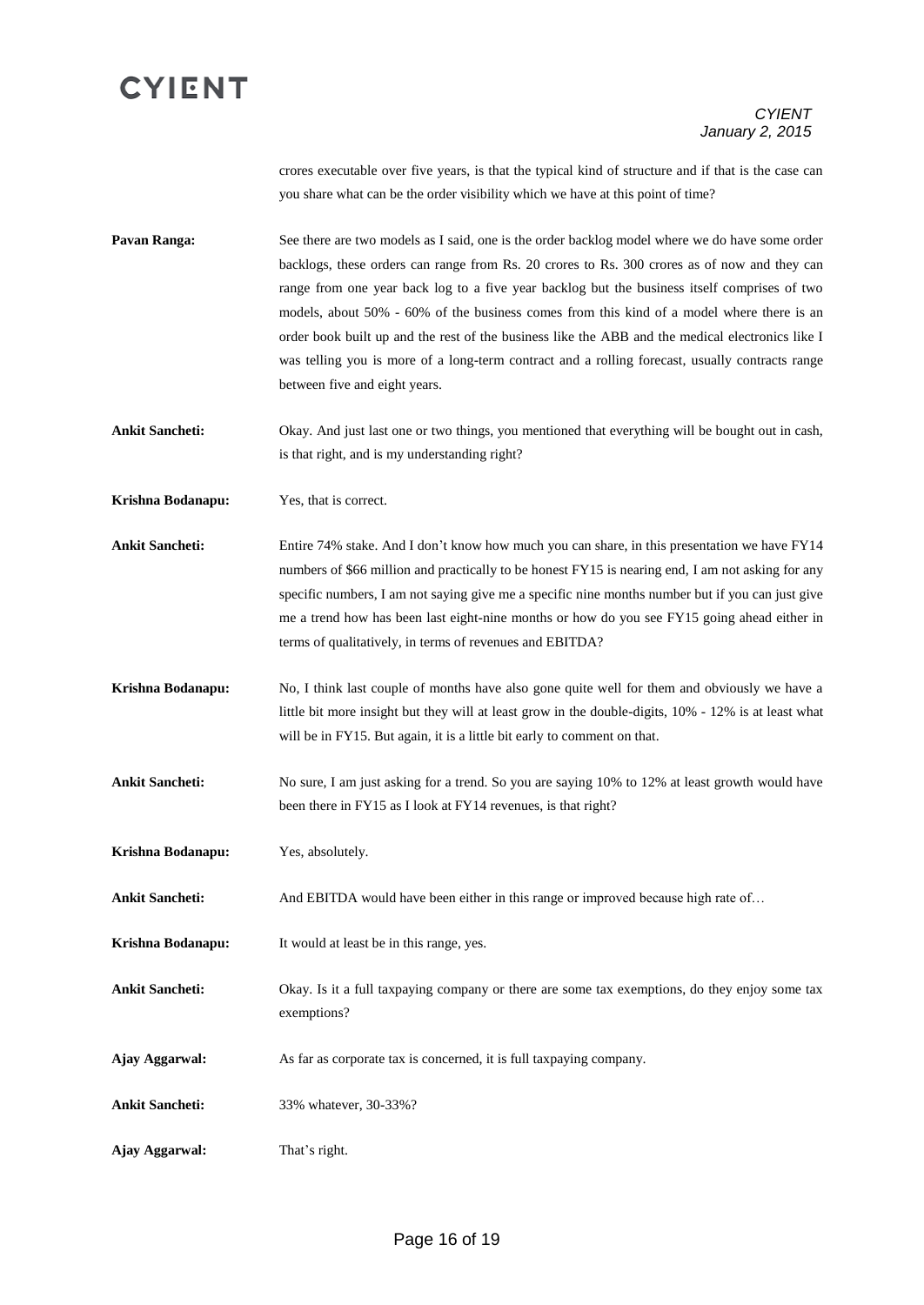#### *CYIENT January 2, 2015*

crores executable over five years, is that the typical kind of structure and if that is the case can you share what can be the order visibility which we have at this point of time?

**Pavan Ranga:** See there are two models as I said, one is the order backlog model where we do have some order backlogs, these orders can range from Rs. 20 crores to Rs. 300 crores as of now and they can range from one year back log to a five year backlog but the business itself comprises of two models, about 50% - 60% of the business comes from this kind of a model where there is an order book built up and the rest of the business like the ABB and the medical electronics like I was telling you is more of a long-term contract and a rolling forecast, usually contracts range between five and eight years.

**Ankit Sancheti:** Okay. And just last one or two things, you mentioned that everything will be bought out in cash, is that right, and is my understanding right?

**Krishna Bodanapu:** Yes, that is correct.

**Ankit Sancheti:** Entire 74% stake. And I don't know how much you can share, in this presentation we have FY14 numbers of \$66 million and practically to be honest FY15 is nearing end, I am not asking for any specific numbers, I am not saying give me a specific nine months number but if you can just give me a trend how has been last eight-nine months or how do you see FY15 going ahead either in terms of qualitatively, in terms of revenues and EBITDA?

**Krishna Bodanapu:** No, I think last couple of months have also gone quite well for them and obviously we have a little bit more insight but they will at least grow in the double-digits, 10% - 12% is at least what will be in FY15. But again, it is a little bit early to comment on that.

**Ankit Sancheti:** No sure, I am just asking for a trend. So you are saying 10% to 12% at least growth would have been there in FY15 as I look at FY14 revenues, is that right?

**Krishna Bodanapu:** Yes, absolutely.

**Ankit Sancheti:** And EBITDA would have been either in this range or improved because high rate of…

**Krishna Bodanapu:** It would at least be in this range, yes.

**Ankit Sancheti:** Okay. Is it a full taxpaying company or there are some tax exemptions, do they enjoy some tax exemptions?

**Ajay Aggarwal:** As far as corporate tax is concerned, it is full taxpaying company.

**Ankit Sancheti:** 33% whatever, 30-33%?

**Ajay Aggarwal:** That's right.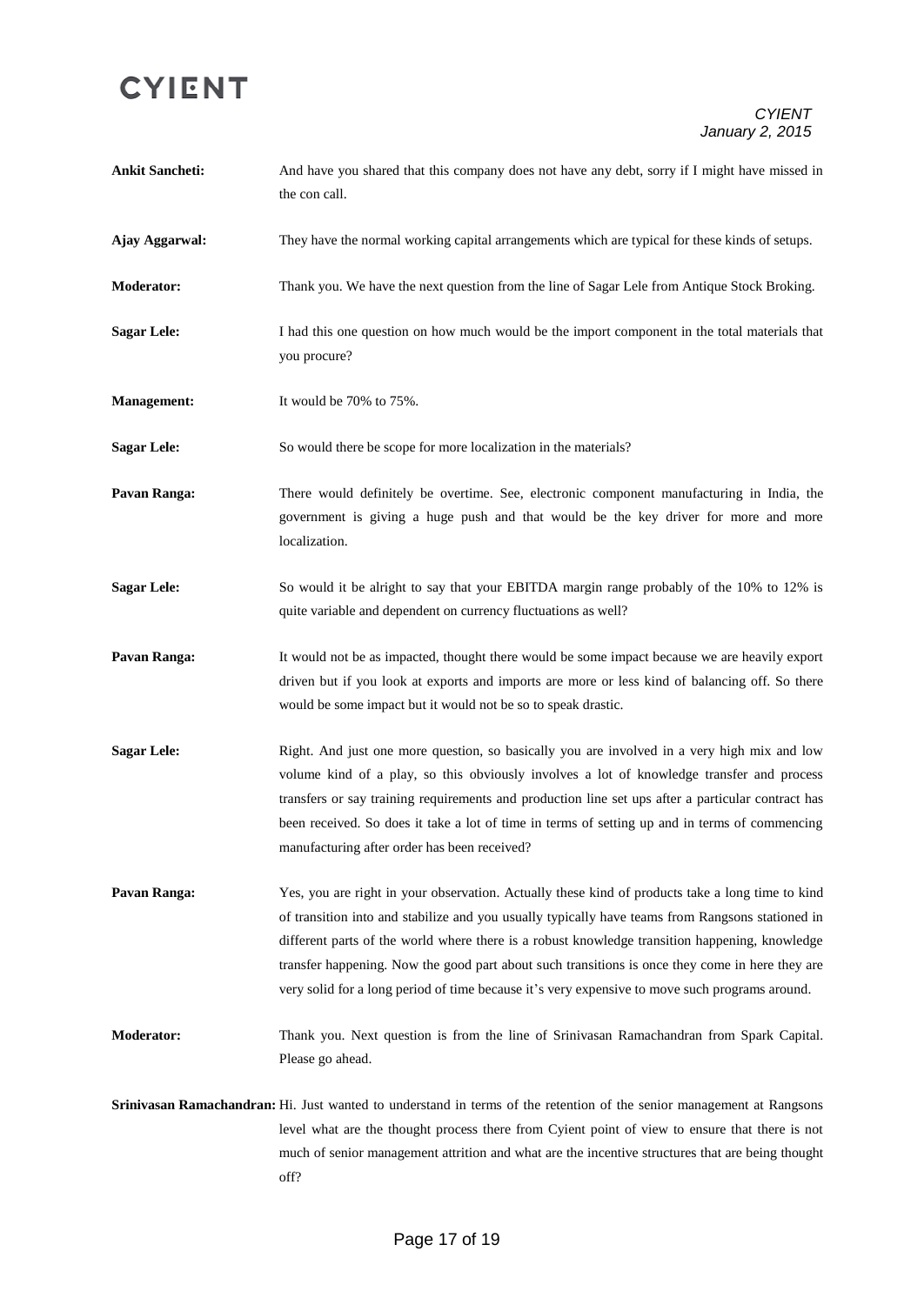#### *CYIENT January 2, 2015*

| <b>Ankit Sancheti:</b> | And have you shared that this company does not have any debt, sorry if I might have missed in<br>the con call.                                                                                                                                                                                                                                                                                                                                                                                              |
|------------------------|-------------------------------------------------------------------------------------------------------------------------------------------------------------------------------------------------------------------------------------------------------------------------------------------------------------------------------------------------------------------------------------------------------------------------------------------------------------------------------------------------------------|
| Ajay Aggarwal:         | They have the normal working capital arrangements which are typical for these kinds of setups.                                                                                                                                                                                                                                                                                                                                                                                                              |
| <b>Moderator:</b>      | Thank you. We have the next question from the line of Sagar Lele from Antique Stock Broking.                                                                                                                                                                                                                                                                                                                                                                                                                |
| <b>Sagar Lele:</b>     | I had this one question on how much would be the import component in the total materials that<br>you procure?                                                                                                                                                                                                                                                                                                                                                                                               |
| <b>Management:</b>     | It would be $70\%$ to $75\%$ .                                                                                                                                                                                                                                                                                                                                                                                                                                                                              |
| <b>Sagar Lele:</b>     | So would there be scope for more localization in the materials?                                                                                                                                                                                                                                                                                                                                                                                                                                             |
| Pavan Ranga:           | There would definitely be overtime. See, electronic component manufacturing in India, the<br>government is giving a huge push and that would be the key driver for more and more<br>localization.                                                                                                                                                                                                                                                                                                           |
| <b>Sagar Lele:</b>     | So would it be alright to say that your EBITDA margin range probably of the 10% to 12% is<br>quite variable and dependent on currency fluctuations as well?                                                                                                                                                                                                                                                                                                                                                 |
| Pavan Ranga:           | It would not be as impacted, thought there would be some impact because we are heavily export<br>driven but if you look at exports and imports are more or less kind of balancing off. So there<br>would be some impact but it would not be so to speak drastic.                                                                                                                                                                                                                                            |
| <b>Sagar Lele:</b>     | Right. And just one more question, so basically you are involved in a very high mix and low<br>volume kind of a play, so this obviously involves a lot of knowledge transfer and process<br>transfers or say training requirements and production line set ups after a particular contract has<br>been received. So does it take a lot of time in terms of setting up and in terms of commencing<br>manufacturing after order has been received?                                                            |
| Pavan Ranga:           | Yes, you are right in your observation. Actually these kind of products take a long time to kind<br>of transition into and stabilize and you usually typically have teams from Rangsons stationed in<br>different parts of the world where there is a robust knowledge transition happening, knowledge<br>transfer happening. Now the good part about such transitions is once they come in here they are<br>very solid for a long period of time because it's very expensive to move such programs around. |
| <b>Moderator:</b>      | Thank you. Next question is from the line of Srinivasan Ramachandran from Spark Capital.<br>Please go ahead.                                                                                                                                                                                                                                                                                                                                                                                                |
|                        | Srinivasan Ramachandran: Hi. Just wanted to understand in terms of the retention of the senior management at Rangsons<br>level what are the thought process there from Cyient point of view to ensure that there is not                                                                                                                                                                                                                                                                                     |

off?

much of senior management attrition and what are the incentive structures that are being thought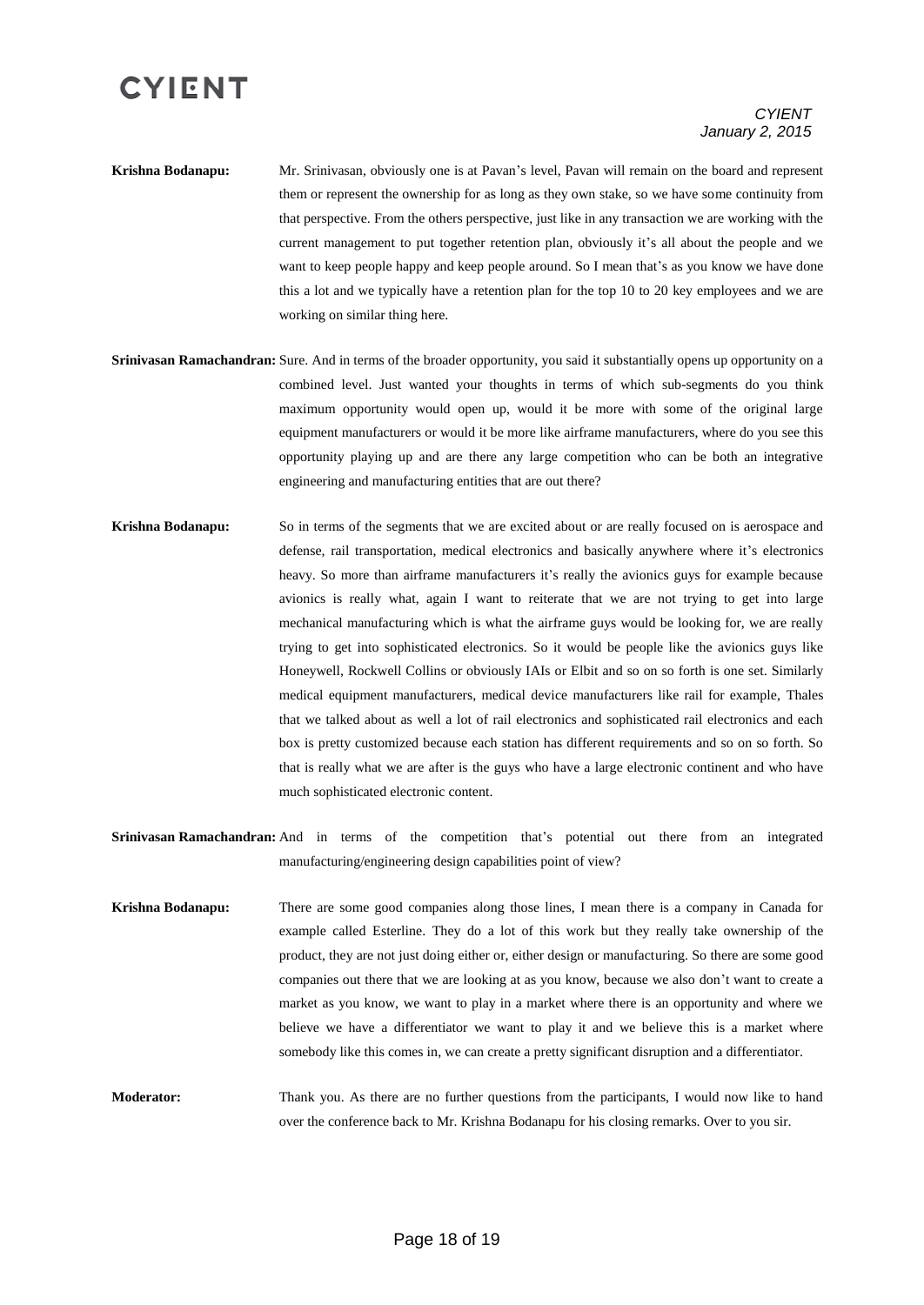#### *CYIENT January 2, 2015*

- **Krishna Bodanapu:** Mr. Srinivasan, obviously one is at Pavan's level, Pavan will remain on the board and represent them or represent the ownership for as long as they own stake, so we have some continuity from that perspective. From the others perspective, just like in any transaction we are working with the current management to put together retention plan, obviously it's all about the people and we want to keep people happy and keep people around. So I mean that's as you know we have done this a lot and we typically have a retention plan for the top 10 to 20 key employees and we are working on similar thing here.
- **Srinivasan Ramachandran:** Sure. And in terms of the broader opportunity, you said it substantially opens up opportunity on a combined level. Just wanted your thoughts in terms of which sub-segments do you think maximum opportunity would open up, would it be more with some of the original large equipment manufacturers or would it be more like airframe manufacturers, where do you see this opportunity playing up and are there any large competition who can be both an integrative engineering and manufacturing entities that are out there?
- **Krishna Bodanapu:** So in terms of the segments that we are excited about or are really focused on is aerospace and defense, rail transportation, medical electronics and basically anywhere where it's electronics heavy. So more than airframe manufacturers it's really the avionics guys for example because avionics is really what, again I want to reiterate that we are not trying to get into large mechanical manufacturing which is what the airframe guys would be looking for, we are really trying to get into sophisticated electronics. So it would be people like the avionics guys like Honeywell, Rockwell Collins or obviously IAIs or Elbit and so on so forth is one set. Similarly medical equipment manufacturers, medical device manufacturers like rail for example, Thales that we talked about as well a lot of rail electronics and sophisticated rail electronics and each box is pretty customized because each station has different requirements and so on so forth. So that is really what we are after is the guys who have a large electronic continent and who have much sophisticated electronic content.
- **Srinivasan Ramachandran:** And in terms of the competition that's potential out there from an integrated manufacturing/engineering design capabilities point of view?
- **Krishna Bodanapu:** There are some good companies along those lines, I mean there is a company in Canada for example called Esterline. They do a lot of this work but they really take ownership of the product, they are not just doing either or, either design or manufacturing. So there are some good companies out there that we are looking at as you know, because we also don't want to create a market as you know, we want to play in a market where there is an opportunity and where we believe we have a differentiator we want to play it and we believe this is a market where somebody like this comes in, we can create a pretty significant disruption and a differentiator.
- **Moderator:** Thank you. As there are no further questions from the participants, I would now like to hand over the conference back to Mr. Krishna Bodanapu for his closing remarks. Over to you sir.